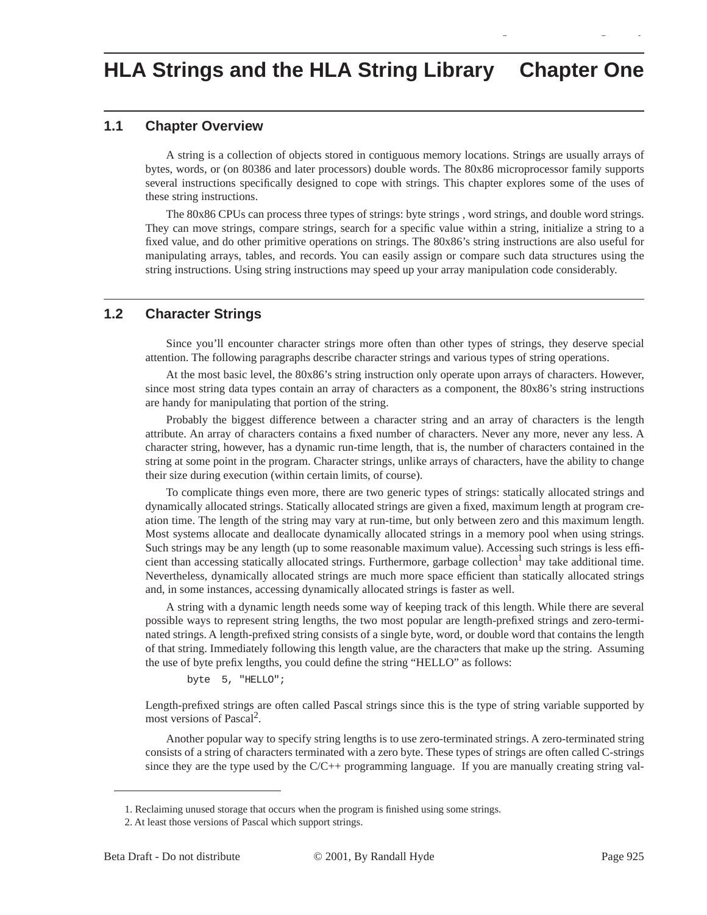# **1.1 Chapter Overview**

A string is a collection of objects stored in contiguous memory locations. Strings are usually arrays of bytes, words, or (on 80386 and later processors) double words. The 80x86 microprocessor family supports several instructions specifically designed to cope with strings. This chapter explores some of the uses of these string instructions.

gy a gyar a gyar a gyar a gyar a gyar a gyar a gyar a gyar a gyar a gyar a gyar a gyar a gyar a gyar a gyar a<br>Gyar a gyar a gyar a gyar a gyar a gyar a gyar a gyar a gyar a gyar a gyar a gyar a gyar a gyar a gyar a gyar

The 80x86 CPUs can process three types of strings: byte strings , word strings, and double word strings. They can move strings, compare strings, search for a specific value within a string, initialize a string to a fixed value, and do other primitive operations on strings. The 80x86's string instructions are also useful for manipulating arrays, tables, and records. You can easily assign or compare such data structures using the string instructions. Using string instructions may speed up your array manipulation code considerably.

# **1.2 Character Strings**

Since you'll encounter character strings more often than other types of strings, they deserve special attention. The following paragraphs describe character strings and various types of string operations.

At the most basic level, the 80x86's string instruction only operate upon arrays of characters. However, since most string data types contain an array of characters as a component, the 80x86's string instructions are handy for manipulating that portion of the string.

Probably the biggest difference between a character string and an array of characters is the length attribute. An array of characters contains a fixed number of characters. Never any more, never any less. A character string, however, has a dynamic run-time length, that is, the number of characters contained in the string at some point in the program. Character strings, unlike arrays of characters, have the ability to change their size during execution (within certain limits, of course).

To complicate things even more, there are two generic types of strings: statically allocated strings and dynamically allocated strings. Statically allocated strings are given a fixed, maximum length at program creation time. The length of the string may vary at run-time, but only between zero and this maximum length. Most systems allocate and deallocate dynamically allocated strings in a memory pool when using strings. Such strings may be any length (up to some reasonable maximum value). Accessing such strings is less efficient than accessing statically allocated strings. Furthermore, garbage collection<sup>1</sup> may take additional time. Nevertheless, dynamically allocated strings are much more space efficient than statically allocated strings and, in some instances, accessing dynamically allocated strings is faster as well.

A string with a dynamic length needs some way of keeping track of this length. While there are several possible ways to represent string lengths, the two most popular are length-prefixed strings and zero-terminated strings. A length-prefixed string consists of a single byte, word, or double word that contains the length of that string. Immediately following this length value, are the characters that make up the string. Assuming the use of byte prefix lengths, you could define the string "HELLO" as follows:

byte 5, "HELLO";

Length-prefixed strings are often called Pascal strings since this is the type of string variable supported by most versions of Pascal<sup>2</sup>.

Another popular way to specify string lengths is to use zero-terminated strings. A zero-terminated string consists of a string of characters terminated with a zero byte. These types of strings are often called C-strings since they are the type used by the  $C/C++$  programming language. If you are manually creating string val-

<sup>1.</sup> Reclaiming unused storage that occurs when the program is finished using some strings.

<sup>2.</sup> At least those versions of Pascal which support strings.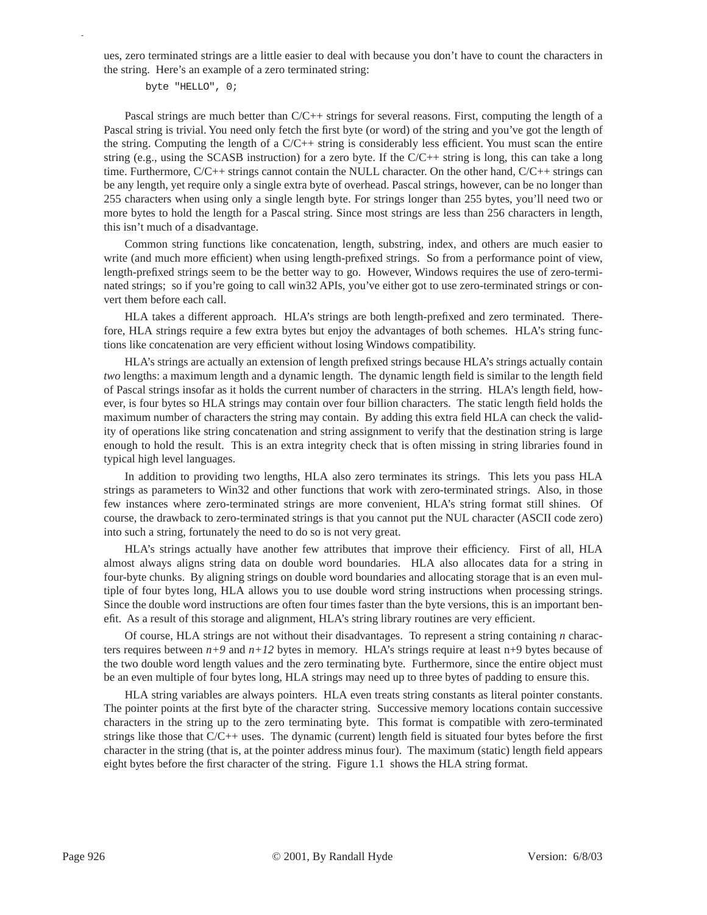ues, zero terminated strings are a little easier to deal with because you don't have to count the characters in the string. Here's an example of a zero terminated string:

byte "HELLO", 0;

p

Pascal strings are much better than C/C++ strings for several reasons. First, computing the length of a Pascal string is trivial. You need only fetch the first byte (or word) of the string and you've got the length of the string. Computing the length of a  $C/C++$  string is considerably less efficient. You must scan the entire string (e.g., using the SCASB instruction) for a zero byte. If the C/C++ string is long, this can take a long time. Furthermore, C/C++ strings cannot contain the NULL character. On the other hand, C/C++ strings can be any length, yet require only a single extra byte of overhead. Pascal strings, however, can be no longer than 255 characters when using only a single length byte. For strings longer than 255 bytes, you'll need two or more bytes to hold the length for a Pascal string. Since most strings are less than 256 characters in length, this isn't much of a disadvantage.

Common string functions like concatenation, length, substring, index, and others are much easier to write (and much more efficient) when using length-prefixed strings. So from a performance point of view, length-prefixed strings seem to be the better way to go. However, Windows requires the use of zero-terminated strings; so if you're going to call win32 APIs, you've either got to use zero-terminated strings or convert them before each call.

HLA takes a different approach. HLA's strings are both length-prefixed and zero terminated. Therefore, HLA strings require a few extra bytes but enjoy the advantages of both schemes. HLA's string functions like concatenation are very efficient without losing Windows compatibility.

HLA's strings are actually an extension of length prefixed strings because HLA's strings actually contain *two* lengths: a maximum length and a dynamic length. The dynamic length field is similar to the length field of Pascal strings insofar as it holds the current number of characters in the strring. HLA's length field, however, is four bytes so HLA strings may contain over four billion characters. The static length field holds the maximum number of characters the string may contain. By adding this extra field HLA can check the validity of operations like string concatenation and string assignment to verify that the destination string is large enough to hold the result. This is an extra integrity check that is often missing in string libraries found in typical high level languages.

In addition to providing two lengths, HLA also zero terminates its strings. This lets you pass HLA strings as parameters to Win32 and other functions that work with zero-terminated strings. Also, in those few instances where zero-terminated strings are more convenient, HLA's string format still shines. Of course, the drawback to zero-terminated strings is that you cannot put the NUL character (ASCII code zero) into such a string, fortunately the need to do so is not very great.

HLA's strings actually have another few attributes that improve their efficiency. First of all, HLA almost always aligns string data on double word boundaries. HLA also allocates data for a string in four-byte chunks. By aligning strings on double word boundaries and allocating storage that is an even multiple of four bytes long, HLA allows you to use double word string instructions when processing strings. Since the double word instructions are often four times faster than the byte versions, this is an important benefit. As a result of this storage and alignment, HLA's string library routines are very efficient.

Of course, HLA strings are not without their disadvantages. To represent a string containing *n* characters requires between  $n+9$  and  $n+12$  bytes in memory. HLA's strings require at least  $n+9$  bytes because of the two double word length values and the zero terminating byte. Furthermore, since the entire object must be an even multiple of four bytes long, HLA strings may need up to three bytes of padding to ensure this.

HLA string variables are always pointers. HLA even treats string constants as literal pointer constants. The pointer points at the first byte of the character string. Successive memory locations contain successive characters in the string up to the zero terminating byte. This format is compatible with zero-terminated strings like those that C/C++ uses. The dynamic (current) length field is situated four bytes before the first character in the string (that is, at the pointer address minus four). The maximum (static) length field appears eight bytes before the first character of the string. Figure 1.1 shows the HLA string format.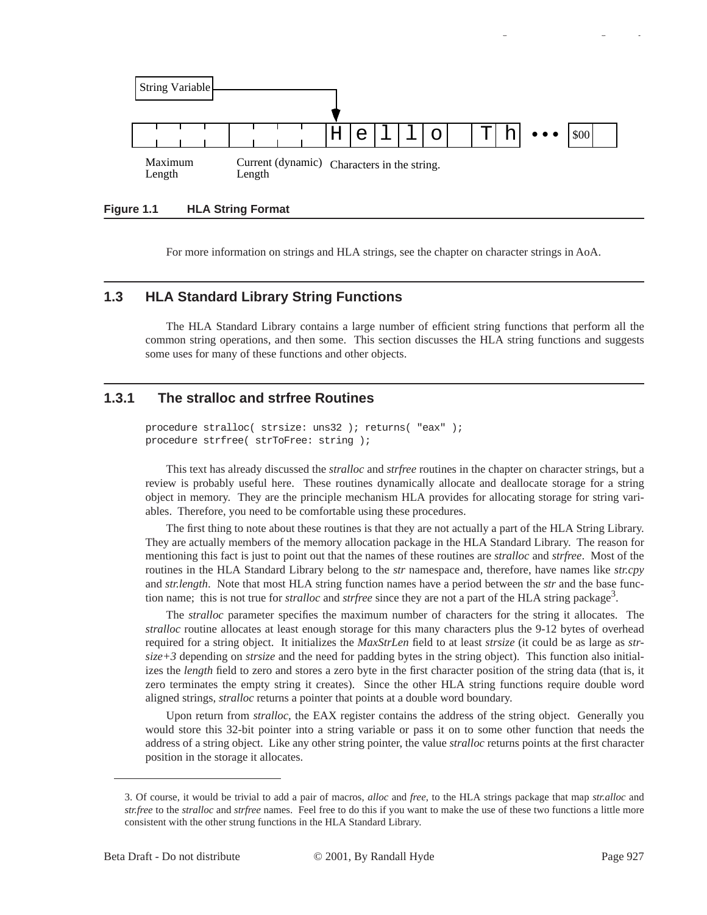

**Figure 1.1 HLA String Format**

For more information on strings and HLA strings, see the chapter on character strings in AoA.

## **1.3 HLA Standard Library String Functions**

The HLA Standard Library contains a large number of efficient string functions that perform all the common string operations, and then some. This section discusses the HLA string functions and suggests some uses for many of these functions and other objects.

# **1.3.1 The stralloc and strfree Routines**

procedure stralloc( strsize: uns32 ); returns( "eax" ); procedure strfree( strToFree: string );

This text has already discussed the *stralloc* and *strfree* routines in the chapter on character strings, but a review is probably useful here. These routines dynamically allocate and deallocate storage for a string object in memory. They are the principle mechanism HLA provides for allocating storage for string variables. Therefore, you need to be comfortable using these procedures.

The first thing to note about these routines is that they are not actually a part of the HLA String Library. They are actually members of the memory allocation package in the HLA Standard Library. The reason for mentioning this fact is just to point out that the names of these routines are *stralloc* and *strfree*. Most of the routines in the HLA Standard Library belong to the *str* namespace and, therefore, have names like *str.cpy* and *str.length*. Note that most HLA string function names have a period between the *str* and the base function name; this is not true for *stralloc* and *strfree* since they are not a part of the HLA string package<sup>3</sup>.

The *stralloc* parameter specifies the maximum number of characters for the string it allocates. The *stralloc* routine allocates at least enough storage for this many characters plus the 9-12 bytes of overhead required for a string object. It initializes the *MaxStrLen* field to at least *strsize* (it could be as large as *strsize+3* depending on *strsize* and the need for padding bytes in the string object). This function also initializes the *length* field to zero and stores a zero byte in the first character position of the string data (that is, it zero terminates the empty string it creates). Since the other HLA string functions require double word aligned strings, *stralloc* returns a pointer that points at a double word boundary.

Upon return from *stralloc*, the EAX register contains the address of the string object. Generally you would store this 32-bit pointer into a string variable or pass it on to some other function that needs the address of a string object. Like any other string pointer, the value *stralloc* returns points at the first character position in the storage it allocates.

gy a gyar a gyar a gyar a gyar a gyar a gyar a gyar a gyar a gyar a gyar a gyar a gyar a gyar a gyar a gyar a<br>Gyar a gyar a gyar a gyar a gyar a gyar a gyar a gyar a gyar a gyar a gyar a gyar a gyar a gyar a gyar a gyar

<sup>3.</sup> Of course, it would be trivial to add a pair of macros, *alloc* and *free*, to the HLA strings package that map *str.alloc* and *str.free* to the *stralloc* and *strfree* names. Feel free to do this if you want to make the use of these two functions a little more consistent with the other strung functions in the HLA Standard Library.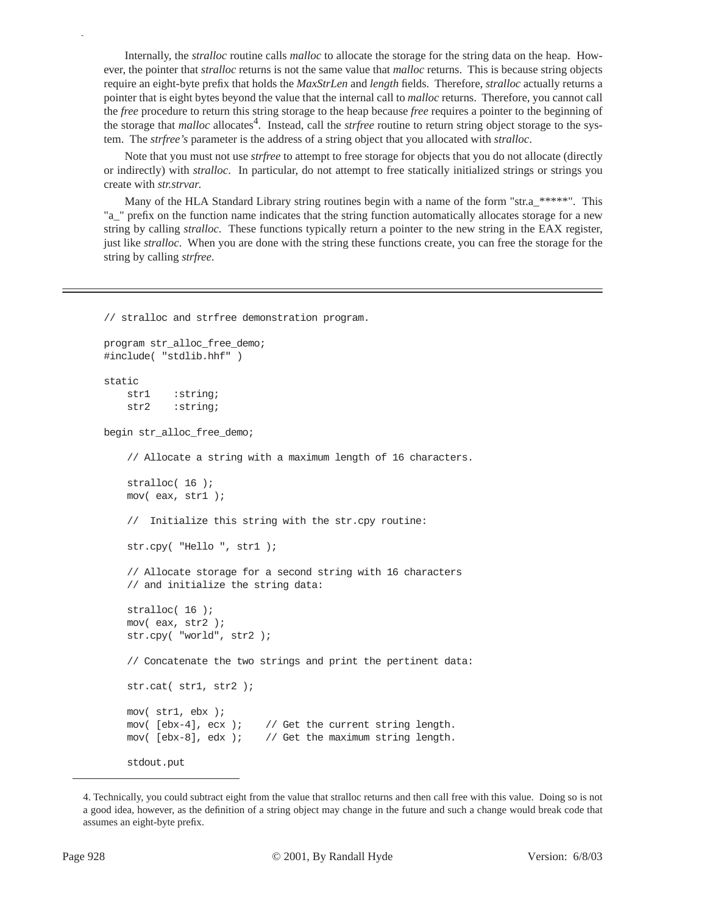Internally, the *stralloc* routine calls *malloc* to allocate the storage for the string data on the heap. However, the pointer that *stralloc* returns is not the same value that *malloc* returns. This is because string objects require an eight-byte prefix that holds the *MaxStrLen* and *length* fields. Therefore, *stralloc* actually returns a pointer that is eight bytes beyond the value that the internal call to *malloc* returns. Therefore, you cannot call the *free* procedure to return this string storage to the heap because *free* requires a pointer to the beginning of the storage that *malloc* allocates<sup>4</sup>. Instead, call the *strfree* routine to return string object storage to the system. The *strfree's* parameter is the address of a string object that you allocated with *stralloc*.

Note that you must not use *strfree* to attempt to free storage for objects that you do not allocate (directly or indirectly) with *stralloc*. In particular, do not attempt to free statically initialized strings or strings you create with *str.strvar*.

Many of the HLA Standard Library string routines begin with a name of the form "str.a\_\*\*\*\*\*". This "a\_" prefix on the function name indicates that the string function automatically allocates storage for a new string by calling *stralloc*. These functions typically return a pointer to the new string in the EAX register, just like *stralloc*. When you are done with the string these functions create, you can free the storage for the string by calling *strfree*.

// stralloc and strfree demonstration program.

```
program str_alloc_free_demo;
#include( "stdlib.hhf" )
static
     str1 :string;
     str2 :string;
begin str_alloc_free_demo;
     // Allocate a string with a maximum length of 16 characters.
     stralloc( 16 );
     mov( eax, str1 );
     // Initialize this string with the str.cpy routine:
     str.cpy( "Hello ", str1 );
     // Allocate storage for a second string with 16 characters
     // and initialize the string data:
     stralloc( 16 );
     mov( eax, str2 );
     str.cpy( "world", str2 );
     // Concatenate the two strings and print the pertinent data:
     str.cat( str1, str2 );
     mov( str1, ebx );
    mov( [ebx-4], ecx ); // Get the current string length.
    mov( [ebx-8], edx ); // Get the maximum string length.
     stdout.put
```
<sup>4.</sup> Technically, you could subtract eight from the value that stralloc returns and then call free with this value. Doing so is not a good idea, however, as the definition of a string object may change in the future and such a change would break code that assumes an eight-byte prefix.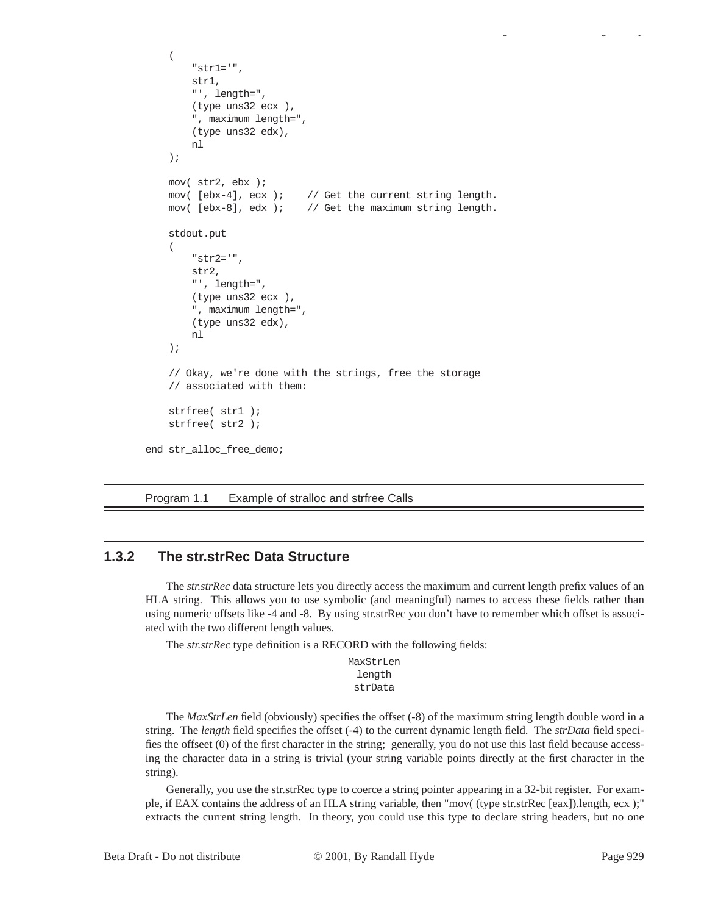```
\overline{a} "str1='", 
         str1, 
         "', length=", 
         (type uns32 ecx ),
          ", maximum length=",
         (type uns32 edx),
         nl
     );
     mov( str2, ebx );
     mov( [ebx-4], ecx ); // Get the current string length.
    mov( [ebx-8], edx ); // Get the maximum string length.
     stdout.put
     ( 
         "str2='", 
         str2, 
         "', length=", 
          (type uns32 ecx ),
          ", maximum length=",
          (type uns32 edx),
         nl
     );
     // Okay, we're done with the strings, free the storage
     // associated with them:
     strfree( str1 );
     strfree( str2 );
end str_alloc_free_demo;
```
Program 1.1 Example of stralloc and strfree Calls

# **1.3.2 The str.strRec Data Structure**

The *str.strRec* data structure lets you directly access the maximum and current length prefix values of an HLA string. This allows you to use symbolic (and meaningful) names to access these fields rather than using numeric offsets like -4 and -8. By using str.strRec you don't have to remember which offset is associated with the two different length values.

The *str.strRec* type definition is a RECORD with the following fields:

MaxStrLen length strData

The *MaxStrLen* field (obviously) specifies the offset (-8) of the maximum string length double word in a string. The *length* field specifies the offset (-4) to the current dynamic length field. The *strData* field specifies the offseet (0) of the first character in the string; generally, you do not use this last field because accessing the character data in a string is trivial (your string variable points directly at the first character in the string).

Generally, you use the str.strRec type to coerce a string pointer appearing in a 32-bit register. For example, if EAX contains the address of an HLA string variable, then "mov( (type str.strRec [eax]).length, ecx );" extracts the current string length. In theory, you could use this type to declare string headers, but no one

gy a gyar a gyar a gyar a gyar a gyar a gyar a gyar a gyar a gyar a gyar a gyar a gyar a gyar a gyar a gyar a<br>Gyar a gyar a gyar a gyar a gyar a gyar a gyar a gyar a gyar a gyar a gyar a gyar a gyar a gyar a gyar a gyar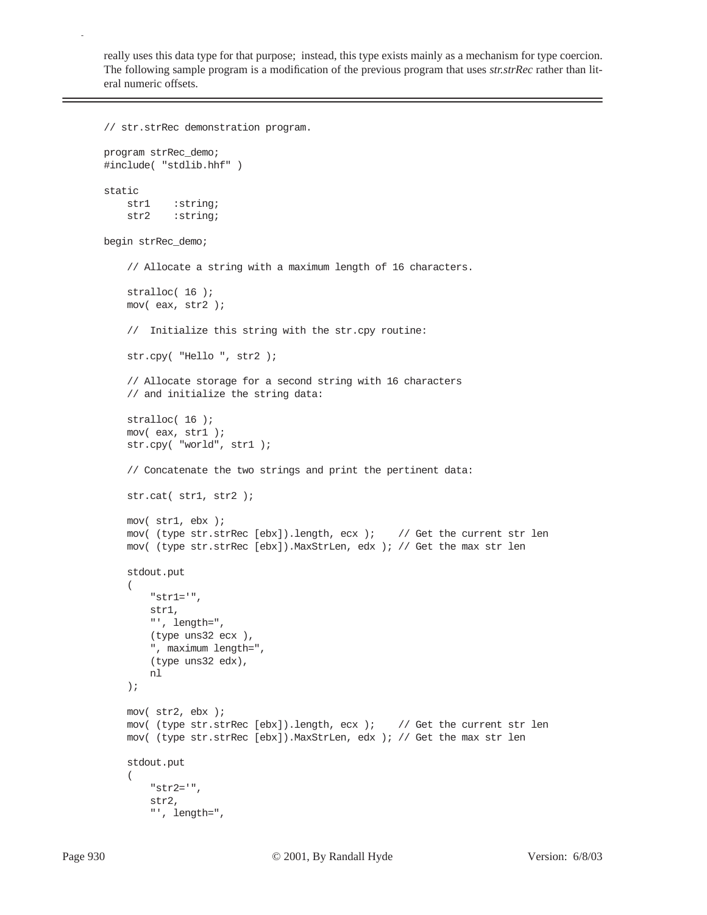really uses this data type for that purpose; instead, this type exists mainly as a mechanism for type coercion. The following sample program is a modification of the previous program that uses *str.strRec* rather than literal numeric offsets.

```
// str.strRec demonstration program.
program strRec_demo;
#include( "stdlib.hhf" )
static
     str1 :string;
     str2 :string;
begin strRec_demo;
     // Allocate a string with a maximum length of 16 characters.
     stralloc( 16 );
     mov( eax, str2 );
     // Initialize this string with the str.cpy routine:
     str.cpy( "Hello ", str2 );
     // Allocate storage for a second string with 16 characters
     // and initialize the string data:
     stralloc( 16 );
     mov( eax, str1 );
     str.cpy( "world", str1 );
     // Concatenate the two strings and print the pertinent data:
     str.cat( str1, str2 );
     mov( str1, ebx );
     mov( (type str.strRec [ebx]).length, ecx ); // Get the current str len
     mov( (type str.strRec [ebx]).MaxStrLen, edx ); // Get the max str len
     stdout.put
     ( 
          "str1='", 
         str1, 
         \hspace{0.1mm} " \hspace{0.1mm} , \hspace{0.1mm} length=" \hspace{0.1mm} ,
          (type uns32 ecx ),
          ", maximum length=",
          (type uns32 edx),
         nl
     );
     mov( str2, ebx );
     mov( (type str.strRec [ebx]).length, ecx ); // Get the current str len
     mov( (type str.strRec [ebx]).MaxStrLen, edx ); // Get the max str len
     stdout.put
     ( 
          "str2='", 
         str2, 
          "', length=",
```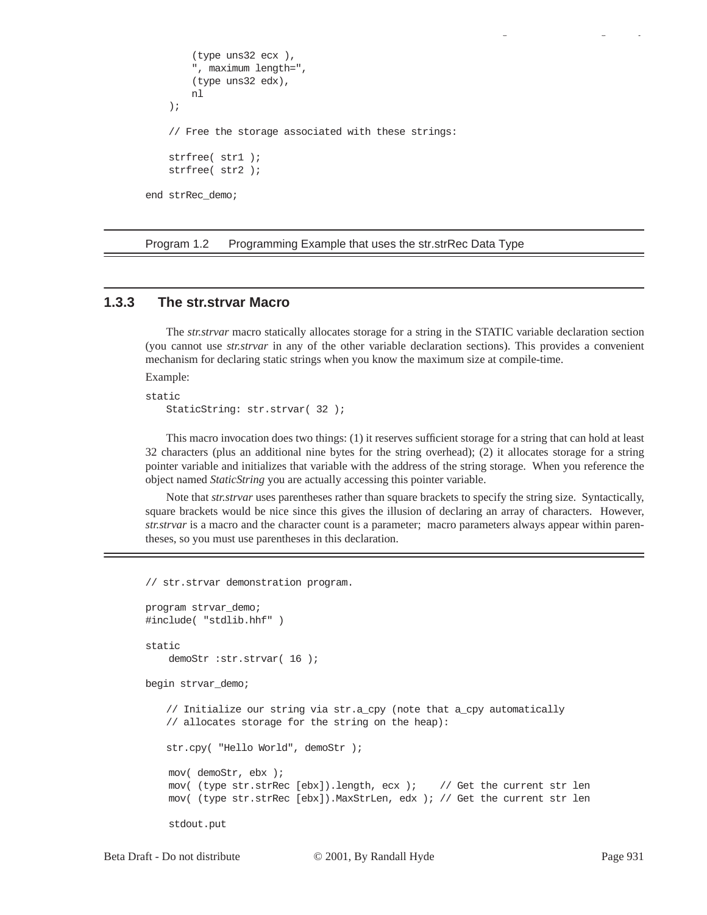```
 (type uns32 ecx ),
         ", maximum length=",
         (type uns32 edx),
         nl
     );
     // Free the storage associated with these strings:
     strfree( str1 );
     strfree( str2 );
end strRec_demo;
```
Program 1.2 Programming Example that uses the str.strRec Data Type

## **1.3.3 The str.strvar Macro**

The *str.strvar* macro statically allocates storage for a string in the STATIC variable declaration section (you cannot use *str.strvar* in any of the other variable declaration sections). This provides a convenient mechanism for declaring static strings when you know the maximum size at compile-time.

Example:

```
static
   StaticString: str.strvar( 32 );
```
This macro invocation does two things: (1) it reserves sufficient storage for a string that can hold at least 32 characters (plus an additional nine bytes for the string overhead); (2) it allocates storage for a string pointer variable and initializes that variable with the address of the string storage. When you reference the object named *StaticString* you are actually accessing this pointer variable.

Note that *str.strvar* uses parentheses rather than square brackets to specify the string size. Syntactically, square brackets would be nice since this gives the illusion of declaring an array of characters. However, *str.strvar* is a macro and the character count is a parameter; macro parameters always appear within parentheses, so you must use parentheses in this declaration.

// str.strvar demonstration program.

```
program strvar_demo;
#include( "stdlib.hhf" )
static
    demoStr :str.strvar( 16 );
begin strvar_demo;
   // Initialize our string via str.a_cpy (note that a_cpy automatically
   // allocates storage for the string on the heap):
   str.cpy( "Hello World", demoStr );
     mov( demoStr, ebx );
     mov( (type str.strRec [ebx]).length, ecx ); // Get the current str len
     mov( (type str.strRec [ebx]).MaxStrLen, edx ); // Get the current str len
     stdout.put
```
gy a gyar a gyar a gyar a gyar a gyar a gyar a gyar a gyar a gyar a gyar a gyar a gyar a gyar a gyar a gyar a<br>Gyar a gyar a gyar a gyar a gyar a gyar a gyar a gyar a gyar a gyar a gyar a gyar a gyar a gyar a gyar a gyar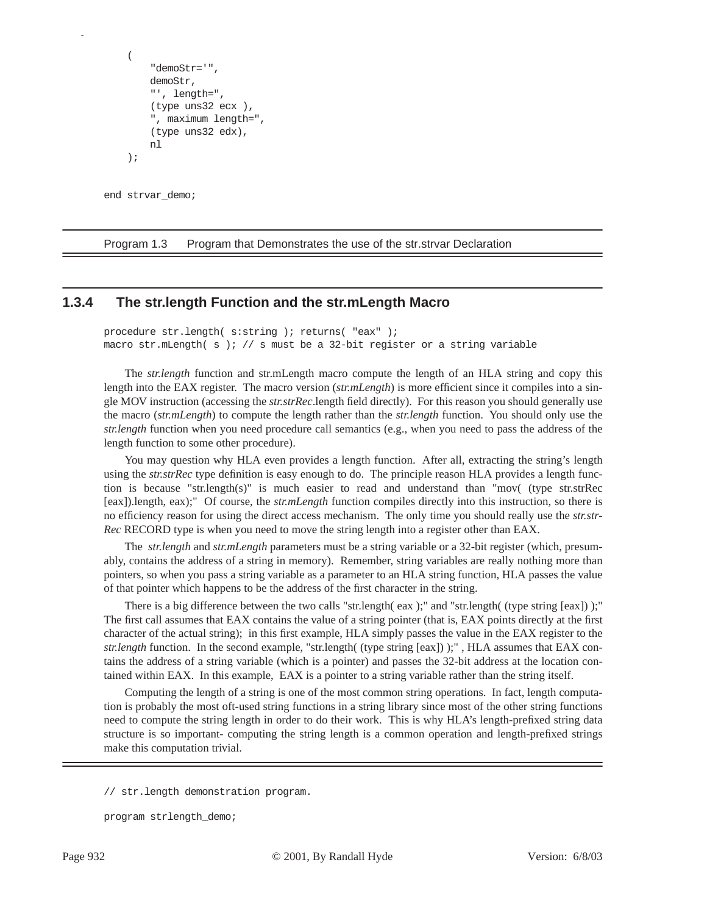```
 ( 
      "demoStr='", 
     demoStr, 
     "', length=", 
      (type uns32 ecx ),
      ", maximum length=",
      (type uns32 edx),
     nl
 );
```
end strvar demo;

p

Program 1.3 Program that Demonstrates the use of the str.strvar Declaration

## **1.3.4 The str.length Function and the str.mLength Macro**

procedure str.length( s:string ); returns( "eax" ); macro str.mLength( s ); // s must be a 32-bit register or a string variable

The *str.length* function and str.mLength macro compute the length of an HLA string and copy this length into the EAX register. The macro version (*str.mLength*) is more efficient since it compiles into a single MOV instruction (accessing the *str.strRec*.length field directly). For this reason you should generally use the macro (*str.mLength*) to compute the length rather than the *str.length* function. You should only use the *str.length* function when you need procedure call semantics (e.g., when you need to pass the address of the length function to some other procedure).

You may question why HLA even provides a length function. After all, extracting the string's length using the *str.strRec* type definition is easy enough to do. The principle reason HLA provides a length function is because "str.length(s)" is much easier to read and understand than "mov( (type str.strRec [eax]).length, eax);" Of course, the *str.mLength* function compiles directly into this instruction, so there is no efficiency reason for using the direct access mechanism. The only time you should really use the *str.str-Rec* RECORD type is when you need to move the string length into a register other than EAX.

The *str.length* and *str.mLength* parameters must be a string variable or a 32-bit register (which, presumably, contains the address of a string in memory). Remember, string variables are really nothing more than pointers, so when you pass a string variable as a parameter to an HLA string function, HLA passes the value of that pointer which happens to be the address of the first character in the string.

There is a big difference between the two calls "str.length( eax );" and "str.length( (type string [eax]) );" The first call assumes that EAX contains the value of a string pointer (that is, EAX points directly at the first character of the actual string); in this first example, HLA simply passes the value in the EAX register to the *str.length* function. In the second example, "str.length( (type string [eax]) );" , HLA assumes that EAX contains the address of a string variable (which is a pointer) and passes the 32-bit address at the location contained within EAX. In this example, EAX is a pointer to a string variable rather than the string itself.

Computing the length of a string is one of the most common string operations. In fact, length computation is probably the most oft-used string functions in a string library since most of the other string functions need to compute the string length in order to do their work. This is why HLA's length-prefixed string data structure is so important- computing the string length is a common operation and length-prefixed strings make this computation trivial.

```
program strlength_demo;
```
<sup>//</sup> str.length demonstration program.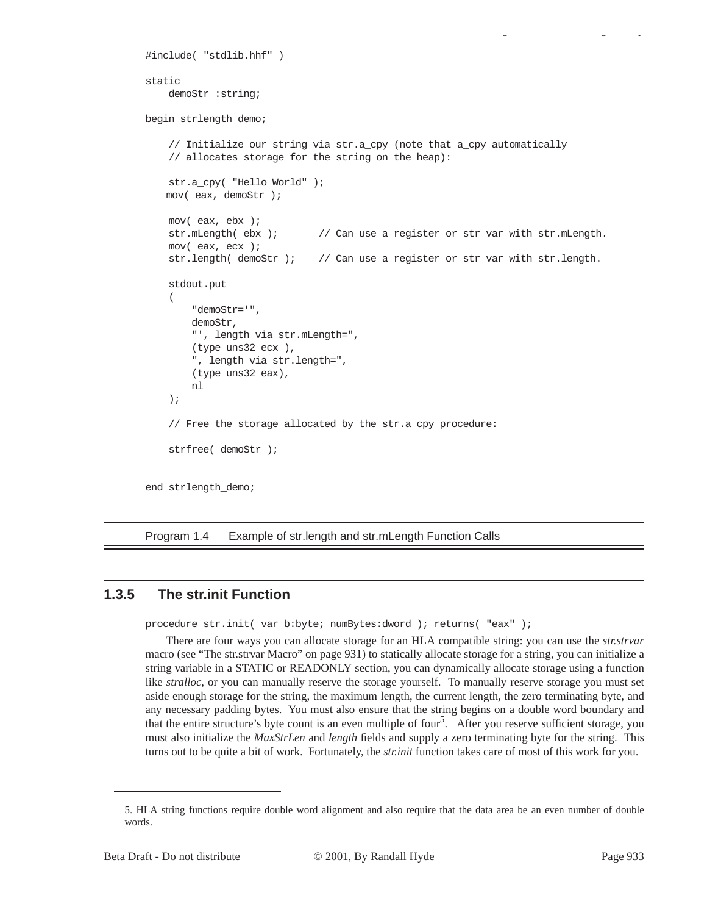```
#include( "stdlib.hhf" )
static
     demoStr :string;
begin strlength_demo;
     // Initialize our string via str.a_cpy (note that a_cpy automatically
     // allocates storage for the string on the heap):
     str.a_cpy( "Hello World" );
   mov( eax, demoStr );
     mov( eax, ebx );
     str.mLength( ebx ); // Can use a register or str var with str.mLength.
     mov( eax, ecx );
     str.length( demoStr ); // Can use a register or str var with str.length. 
     stdout.put
     ( 
         "demoStr='", 
         demoStr, 
         "', length via str.mLength=", 
         (type uns32 ecx ),
         ", length via str.length=",
         (type uns32 eax),
         nl
     );
     // Free the storage allocated by the str.a_cpy procedure:
     strfree( demoStr );
end strlength_demo;
```
Program 1.4 Example of str.length and str.mLength Function Calls

# **1.3.5 The str.init Function**

procedure str.init( var b:byte; numBytes:dword ); returns( "eax" );

There are four ways you can allocate storage for an HLA compatible string: you can use the *str.strvar* macro (see "The str.strvar Macro" on page 931) to statically allocate storage for a string, you can initialize a string variable in a STATIC or READONLY section, you can dynamically allocate storage using a function like *stralloc*, or you can manually reserve the storage yourself. To manually reserve storage you must set aside enough storage for the string, the maximum length, the current length, the zero terminating byte, and any necessary padding bytes. You must also ensure that the string begins on a double word boundary and that the entire structure's byte count is an even multiple of four<sup>5</sup>. After you reserve sufficient storage, you must also initialize the *MaxStrLen* and *length* fields and supply a zero terminating byte for the string. This turns out to be quite a bit of work. Fortunately, the *str.init* function takes care of most of this work for you.

gy a gyar a gyar a gyar a gyar a gyar a gyar a gyar a gyar a gyar a gyar a gyar a gyar a gyar a gyar a gyar a<br>Gyar a gyar a gyar a gyar a gyar a gyar a gyar a gyar a gyar a gyar a gyar a gyar a gyar a gyar a gyar a gyar

<sup>5.</sup> HLA string functions require double word alignment and also require that the data area be an even number of double words.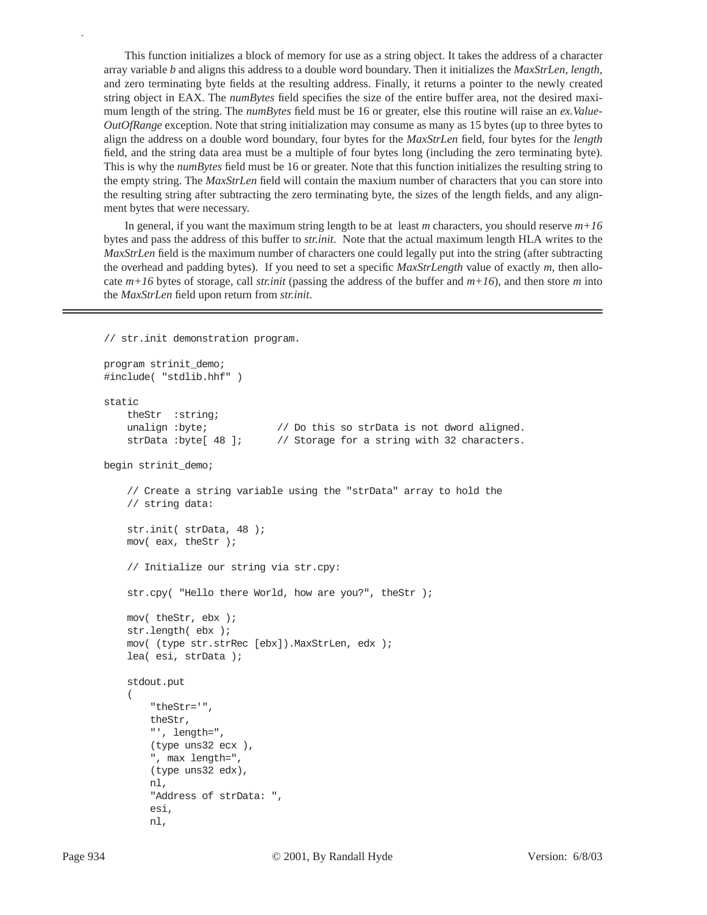This function initializes a block of memory for use as a string object. It takes the address of a character array variable *b* and aligns this address to a double word boundary. Then it initializes the *MaxStrLen*, *length*, and zero terminating byte fields at the resulting address. Finally, it returns a pointer to the newly created string object in EAX. The *numBytes* field specifies the size of the entire buffer area, not the desired maximum length of the string. The *numBytes* field must be 16 or greater, else this routine will raise an *ex.Value-OutOfRange* exception. Note that string initialization may consume as many as 15 bytes (up to three bytes to align the address on a double word boundary, four bytes for the *MaxStrLen* field, four bytes for the *length* field, and the string data area must be a multiple of four bytes long (including the zero terminating byte). This is why the *numBytes* field must be 16 or greater. Note that this function initializes the resulting string to the empty string. The *MaxStrLen* field will contain the maxium number of characters that you can store into the resulting string after subtracting the zero terminating byte, the sizes of the length fields, and any alignment bytes that were necessary.

In general, if you want the maximum string length to be at least *m* characters, you should reserve *m+16* bytes and pass the address of this buffer to *str.init*. Note that the actual maximum length HLA writes to the *MaxStrLen* field is the maximum number of characters one could legally put into the string (after subtracting the overhead and padding bytes). If you need to set a specific *MaxStrLength* value of exactly *m*, then allocate *m+16* bytes of storage, call *str.init* (passing the address of the buffer and *m+16*), and then store *m* into the *MaxStrLen* field upon return from *str.init*.

```
// str.init demonstration program.
```

```
program strinit_demo;
#include( "stdlib.hhf" )
static
     theStr :string;
    unalign : byte; \frac{1}{2} // Do this so strData is not dword aligned.
    strData : byte[ 48 ]; // Storage for a string with 32 characters.
begin strinit_demo;
     // Create a string variable using the "strData" array to hold the
     // string data:
     str.init( strData, 48 );
     mov( eax, theStr );
     // Initialize our string via str.cpy:
     str.cpy( "Hello there World, how are you?", theStr );
     mov( theStr, ebx );
     str.length( ebx );
     mov( (type str.strRec [ebx]).MaxStrLen, edx );
     lea( esi, strData );
     stdout.put
\overline{a} "theStr='", 
         theStr, 
         "', length=", 
         (type uns32 ecx ),
         ", max length=",
         (type uns32 edx),
         nl,
         "Address of strData: ",
         esi,
         nl,
```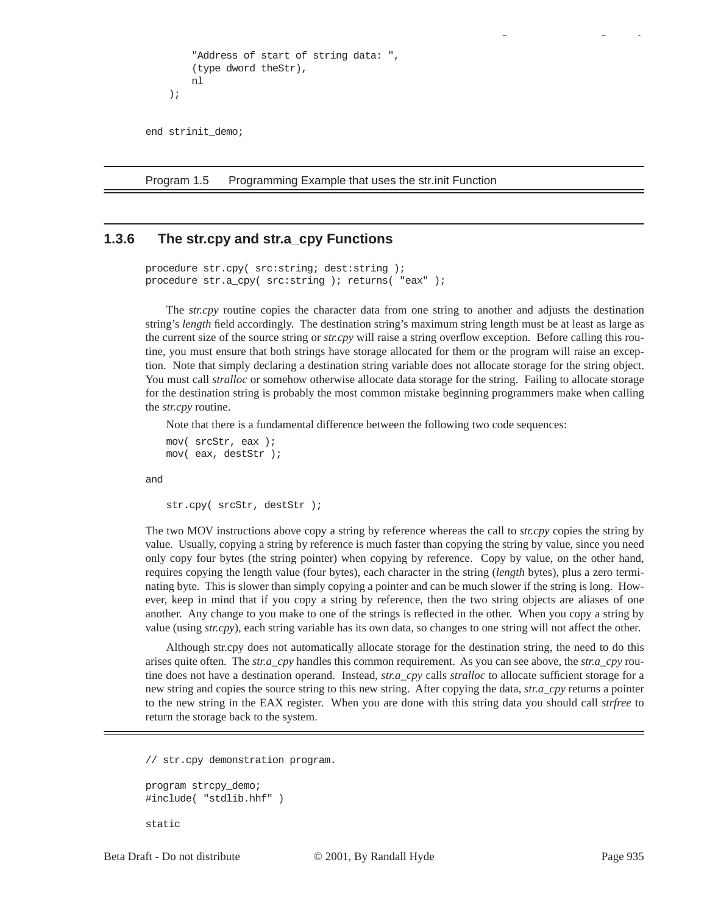```
 "Address of start of string data: ",
     (type dword theStr),
     nl
 );
```
end strinit\_demo;

Program 1.5 Programming Example that uses the str.init Function

## **1.3.6 The str.cpy and str.a\_cpy Functions**

```
procedure str.cpy( src:string; dest:string );
procedure str.a_cpy( src:string ); returns( "eax" );
```
The *str.cpy* routine copies the character data from one string to another and adjusts the destination string's *length* field accordingly. The destination string's maximum string length must be at least as large as the current size of the source string or *str.cpy* will raise a string overflow exception. Before calling this routine, you must ensure that both strings have storage allocated for them or the program will raise an exception. Note that simply declaring a destination string variable does not allocate storage for the string object. You must call *stralloc* or somehow otherwise allocate data storage for the string. Failing to allocate storage for the destination string is probably the most common mistake beginning programmers make when calling the *str.cpy* routine.

Note that there is a fundamental difference between the following two code sequences:

```
mov( srcStr, eax );
mov( eax, destStr );
```
and

```
str.cpy( srcStr, destStr );
```
The two MOV instructions above copy a string by reference whereas the call to *str.cpy* copies the string by value. Usually, copying a string by reference is much faster than copying the string by value, since you need only copy four bytes (the string pointer) when copying by reference. Copy by value, on the other hand, requires copying the length value (four bytes), each character in the string (*length* bytes), plus a zero terminating byte. This is slower than simply copying a pointer and can be much slower if the string is long. However, keep in mind that if you copy a string by reference, then the two string objects are aliases of one another. Any change to you make to one of the strings is reflected in the other. When you copy a string by value (using *str.cpy*), each string variable has its own data, so changes to one string will not affect the other.

Although str.cpy does not automatically allocate storage for the destination string, the need to do this arises quite often. The *str.a\_cpy* handles this common requirement. As you can see above, the *str.a\_cpy* routine does not have a destination operand. Instead, *str.a\_cpy* calls *stralloc* to allocate sufficient storage for a new string and copies the source string to this new string. After copying the data, *str.a\_cpy* returns a pointer to the new string in the EAX register. When you are done with this string data you should call *strfree* to return the storage back to the system.

// str.cpy demonstration program.

```
program strcpy_demo;
#include( "stdlib.hhf" )
```

```
static
```
gy a gyar a gyar a gyar a gyar a gyar a gyar a gyar a gyar a gyar a gyar a gyar a gyar a gyar a gyar a gyar a<br>Gyar a gyar a gyar a gyar a gyar a gyar a gyar a gyar a gyar a gyar a gyar a gyar a gyar a gyar a gyar a gyar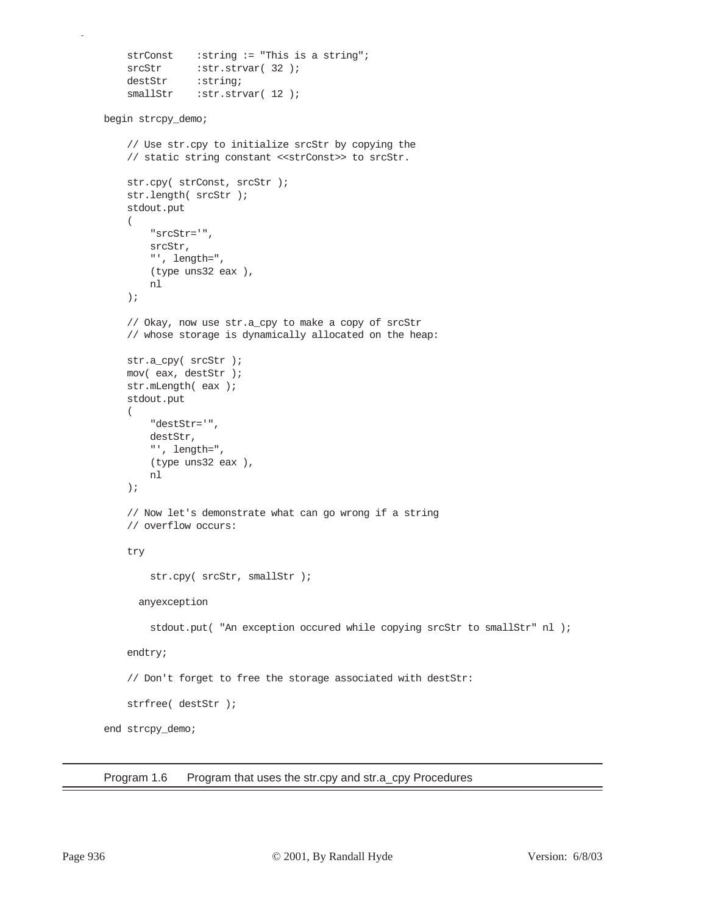```
strConst :string := "This is a string";
    srcStr :str.strvar( 32 );
    destStr : string;
    smallStr :str.strvar( 12 );
begin strcpy_demo;
     // Use str.cpy to initialize srcStr by copying the
     // static string constant <<strConst>> to srcStr.
     str.cpy( strConst, srcStr );
     str.length( srcStr );
     stdout.put
     ( 
         "srcStr='", 
         srcStr, 
         "', length=", 
         (type uns32 eax ),
         nl
     );
     // Okay, now use str.a_cpy to make a copy of srcStr
     // whose storage is dynamically allocated on the heap:
     str.a_cpy( srcStr );
     mov( eax, destStr );
     str.mLength( eax );
     stdout.put
     ( 
         "destStr='", 
         destStr, 
         "', length=", 
         (type uns32 eax ),
         nl
     );
     // Now let's demonstrate what can go wrong if a string
     // overflow occurs:
     try
        str.cpy( srcStr, smallStr );
       anyexception
        stdout.put( "An exception occured while copying srcStr to smallStr" nl );
     endtry;
     // Don't forget to free the storage associated with destStr:
     strfree( destStr );
end strcpy_demo;
```
Program 1.6 Program that uses the str.cpy and str.a\_cpy Procedures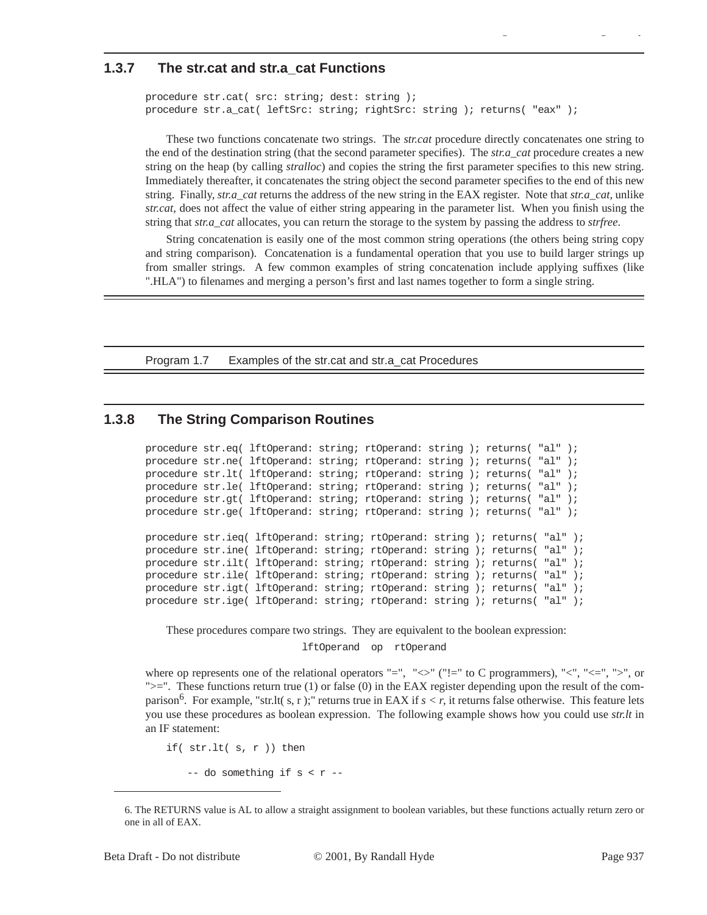## **1.3.7 The str.cat and str.a\_cat Functions**

```
procedure str.cat( src: string; dest: string );
procedure str.a_cat( leftSrc: string; rightSrc: string ); returns( "eax" );
```
These two functions concatenate two strings. The *str.cat* procedure directly concatenates one string to the end of the destination string (that the second parameter specifies). The *str.a\_cat* procedure creates a new string on the heap (by calling *stralloc*) and copies the string the first parameter specifies to this new string. Immediately thereafter, it concatenates the string object the second parameter specifies to the end of this new string. Finally, *str.a\_cat* returns the address of the new string in the EAX register. Note that *str.a\_cat,* unlike *str.cat*, does not affect the value of either string appearing in the parameter list. When you finish using the string that *str.a\_cat* allocates, you can return the storage to the system by passing the address to *strfree*.

gy a gyar a gyar a gyar a gyar a gyar a gyar a gyar a gyar a gyar a gyar a gyar a gyar a gyar a gyar a gyar a<br>Gyar a gyar a gyar a gyar a gyar a gyar a gyar a gyar a gyar a gyar a gyar a gyar a gyar a gyar a gyar a gyar

String concatenation is easily one of the most common string operations (the others being string copy and string comparison). Concatenation is a fundamental operation that you use to build larger strings up from smaller strings. A few common examples of string concatenation include applying suffixes (like ".HLA") to filenames and merging a person's first and last names together to form a single string.

Program 1.7 Examples of the str.cat and str.a\_cat Procedures

# **1.3.8 The String Comparison Routines**

```
procedure str.eq( lftOperand: string; rtOperand: string ); returns( "al" );
procedure str.ne( lftOperand: string; rtOperand: string ); returns( "al" );
procedure str.lt( lftOperand: string; rtOperand: string ); returns( "al" );
procedure str.le( lftOperand: string; rtOperand: string ); returns( "al" );
procedure str.gt( lftOperand: string; rtOperand: string ); returns( "al" );
procedure str.ge( lftOperand: string; rtOperand: string ); returns( "al" );
procedure str.ieq( lftOperand: string; rtOperand: string ); returns( "al" );
procedure str.ine( lftOperand: string; rtOperand: string ); returns( "al" );
procedure str.ilt( lftOperand: string; rtOperand: string ); returns( "al" );
procedure str.ile( lftOperand: string; rtOperand: string ); returns( "al" );
procedure str.igt( lftOperand: string; rtOperand: string ); returns( "al" );
procedure str.ige( lftOperand: string; rtOperand: string ); returns( "al" );
```
These procedures compare two strings. They are equivalent to the boolean expression:

lftOperand op rtOperand

where op represents one of the relational operators "=", " $\lt\lt$ " ("!=" to C programmers), " $\lt\lt", " \lt; =", ">",$  or ">=". These functions return true (1) or false (0) in the EAX register depending upon the result of the comparison<sup>o</sup>. For example, "str.lt( s, r );" returns true in EAX if  $s < r$ , it returns false otherwise. This feature lets you use these procedures as boolean expression. The following example shows how you could use *str.lt* in an IF statement:

if( str.lt( s, r )) then

-- do something if  $s < r$  --

<sup>6.</sup> The RETURNS value is AL to allow a straight assignment to boolean variables, but these functions actually return zero or one in all of EAX.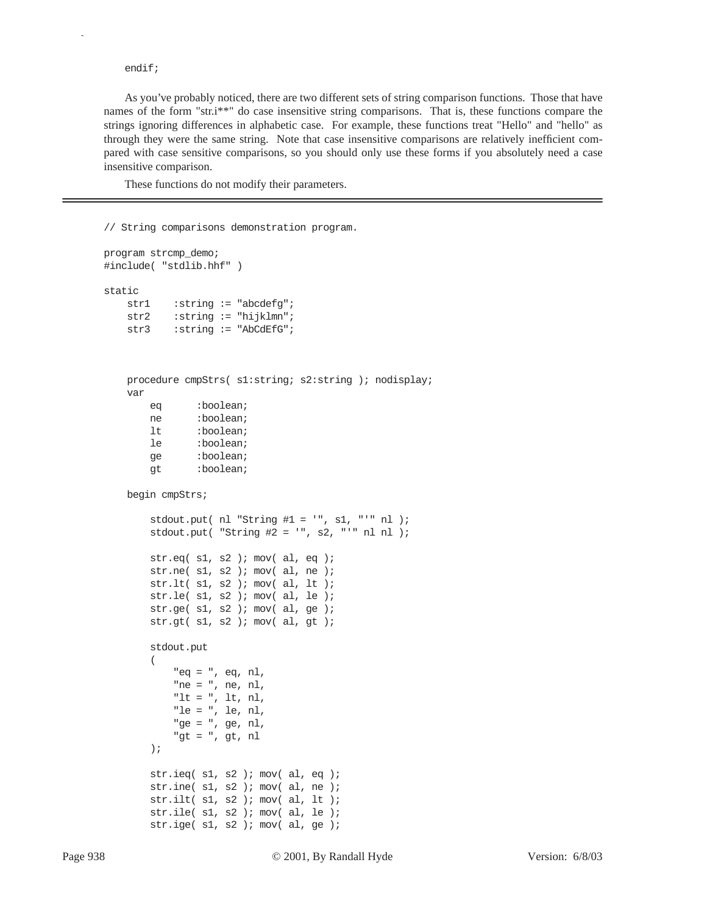#### endif;

p

As you've probably noticed, there are two different sets of string comparison functions. Those that have names of the form "str.i\*\*" do case insensitive string comparisons. That is, these functions compare the strings ignoring differences in alphabetic case. For example, these functions treat "Hello" and "hello" as through they were the same string. Note that case insensitive comparisons are relatively inefficient compared with case sensitive comparisons, so you should only use these forms if you absolutely need a case insensitive comparison.

These functions do not modify their parameters.

// String comparisons demonstration program.

```
program strcmp_demo;
#include( "stdlib.hhf" )
static
   str1 :string := "abcdefg";
    str2 : string := "hijklmn";
    str3 : string := "AbCdEfG";
    procedure cmpStrs( s1:string; s2:string ); nodisplay;
     var
        eq :boolean;
        ne :boolean;
        lt :boolean;
        le :boolean;
         ge :boolean;
         gt :boolean;
    begin cmpStrs;
        stdout.put( nl "String #1 = ", sl, "'" nl );
         stdout.put( "String #2 = '", s2, "'" nl nl );
        str.eq( s1, s2 ); mov( al, eq );
       str.ne( s1, s2 ); mov( al, ne );
         str.lt( s1, s2 ); mov( al, lt );
         str.le( s1, s2 ); mov( al, le );
         str.ge( s1, s2 ); mov( al, ge );
         str.gt( s1, s2 ); mov( al, gt );
         stdout.put
\overline{\phantom{a}} "eq = ", eq, nl,
             "ne = ", ne, nl,
             "lt = ", lt, nl,
             "le = ", le, nl,
             "ge = ", ge, nl,
             "gt = ", gt, nl
         );
        str.ieq(sl, s2); mov(al, eq);
         str.ine( s1, s2 ); mov( al, ne );
         str.ilt( s1, s2 ); mov( al, lt );
         str.ile( s1, s2 ); mov( al, le );
         str.ige( s1, s2 ); mov( al, ge );
```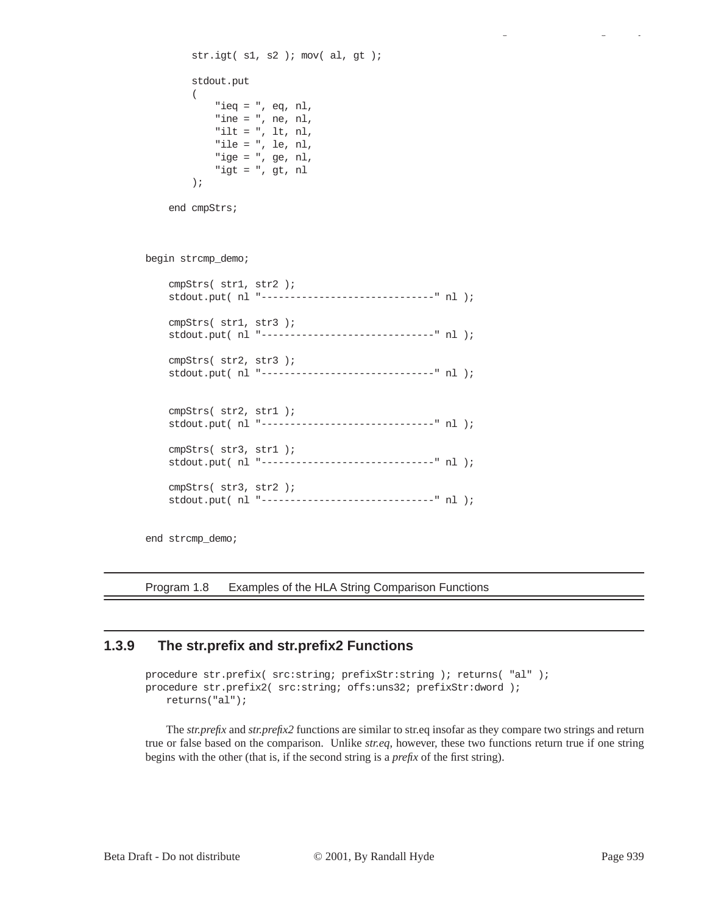```
 str.igt( s1, s2 ); mov( al, gt );
         stdout.put
\overline{\phantom{a}} "ieq = ", eq, nl,
              "ine = ", ne, nl,
              "ilt = ", lt, nl,
              "ile = ", le, nl,
              "ige = ", ge, nl,
              "igt = ", gt, nl
          );
     end cmpStrs;
begin strcmp_demo;
     cmpStrs( str1, str2 );
     stdout.put( nl "------------------------------" nl );
     cmpStrs( str1, str3 );
     stdout.put( nl "------------------------------" nl );
     cmpStrs( str2, str3 );
     stdout.put( nl "------------------------------" nl );
     cmpStrs( str2, str1 );
     stdout.put( nl "------------------------------" nl );
     cmpStrs( str3, str1 );
     stdout.put( nl "------------------------------" nl );
     cmpStrs( str3, str2 );
     stdout.put( nl "------------------------------" nl );
```
end strcmp\_demo;

Program 1.8 Examples of the HLA String Comparison Functions

## **1.3.9 The str.prefix and str.prefix2 Functions**

```
procedure str.prefix( src:string; prefixStr:string ); returns( "al" );
procedure str.prefix2( src:string; offs:uns32; prefixStr:dword ); 
   returns("al");
```
The *str.prefix* and *str.prefix2* functions are similar to str.eq insofar as they compare two strings and return true or false based on the comparison. Unlike *str.eq*, however, these two functions return true if one string begins with the other (that is, if the second string is a *prefix* of the first string).

gy a gyar a gyar a gyar a gyar a gyar a gyar a gyar a gyar a gyar a gyar a gyar a gyar a gyar a gyar a gyar a<br>Gyar a gyar a gyar a gyar a gyar a gyar a gyar a gyar a gyar a gyar a gyar a gyar a gyar a gyar a gyar a gyar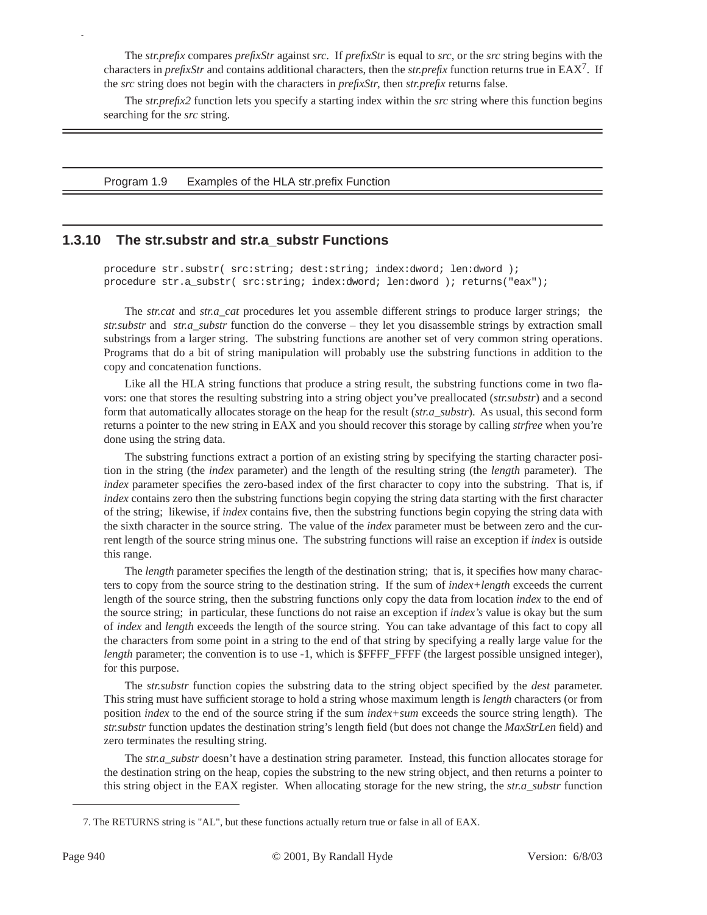The *str.prefix* compares *prefixStr* against *src*. If *prefixStr* is equal to *src*, or the *src* string begins with the characters in *prefixStr* and contains additional characters, then the *str.prefix* function returns true in EAX7. If the *src* string does not begin with the characters in *prefixStr*, then *str.prefix* returns false.

The *str.prefix2* function lets you specify a starting index within the *src* string where this function begins searching for the *src* string.

Program 1.9 Examples of the HLA str.prefix Function

## **1.3.10 The str.substr and str.a\_substr Functions**

procedure str.substr( src:string; dest:string; index:dword; len:dword ); procedure str.a\_substr( src:string; index:dword; len:dword ); returns("eax");

The *str.cat* and *str.a\_cat* procedures let you assemble different strings to produce larger strings; the *str.substr* and *str.a\_substr* function do the converse – they let you disassemble strings by extraction small substrings from a larger string. The substring functions are another set of very common string operations. Programs that do a bit of string manipulation will probably use the substring functions in addition to the copy and concatenation functions.

Like all the HLA string functions that produce a string result, the substring functions come in two flavors: one that stores the resulting substring into a string object you've preallocated (*str.substr*) and a second form that automatically allocates storage on the heap for the result (*str.a\_substr*). As usual, this second form returns a pointer to the new string in EAX and you should recover this storage by calling *strfree* when you're done using the string data.

The substring functions extract a portion of an existing string by specifying the starting character position in the string (the *index* parameter) and the length of the resulting string (the *length* parameter). The *index* parameter specifies the zero-based index of the first character to copy into the substring. That is, if *index* contains zero then the substring functions begin copying the string data starting with the first character of the string; likewise, if *index* contains five, then the substring functions begin copying the string data with the sixth character in the source string. The value of the *index* parameter must be between zero and the current length of the source string minus one. The substring functions will raise an exception if *index* is outside this range.

The *length* parameter specifies the length of the destination string; that is, it specifies how many characters to copy from the source string to the destination string. If the sum of *index+length* exceeds the current length of the source string, then the substring functions only copy the data from location *index* to the end of the source string; in particular, these functions do not raise an exception if *index's* value is okay but the sum of *index* and *length* exceeds the length of the source string. You can take advantage of this fact to copy all the characters from some point in a string to the end of that string by specifying a really large value for the *length* parameter; the convention is to use -1, which is \$FFFF\_FFFF (the largest possible unsigned integer), for this purpose.

The *str.substr* function copies the substring data to the string object specified by the *dest* parameter. This string must have sufficient storage to hold a string whose maximum length is *length* characters (or from position *index* to the end of the source string if the sum *index+sum* exceeds the source string length). The *str.substr* function updates the destination string's length field (but does not change the *MaxStrLen* field) and zero terminates the resulting string.

The *str.a\_substr* doesn't have a destination string parameter. Instead, this function allocates storage for the destination string on the heap, copies the substring to the new string object, and then returns a pointer to this string object in the EAX register. When allocating storage for the new string, the *str.a\_substr* function

<sup>7.</sup> The RETURNS string is "AL", but these functions actually return true or false in all of EAX.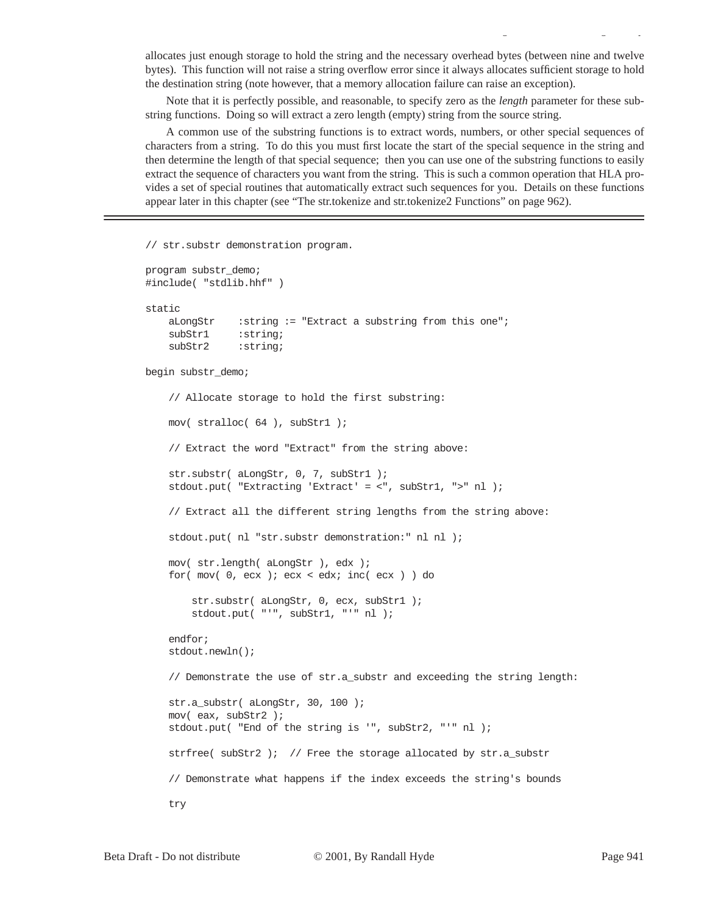allocates just enough storage to hold the string and the necessary overhead bytes (between nine and twelve bytes). This function will not raise a string overflow error since it always allocates sufficient storage to hold the destination string (note however, that a memory allocation failure can raise an exception).

gy a gyar a gyar a gyar a gyar a gyar a gyar a gyar a gyar a gyar a gyar a gyar a gyar a gyar a gyar a gyar a<br>Gyar a gyar a gyar a gyar a gyar a gyar a gyar a gyar a gyar a gyar a gyar a gyar a gyar a gyar a gyar a gyar

Note that it is perfectly possible, and reasonable, to specify zero as the *length* parameter for these substring functions. Doing so will extract a zero length (empty) string from the source string.

A common use of the substring functions is to extract words, numbers, or other special sequences of characters from a string. To do this you must first locate the start of the special sequence in the string and then determine the length of that special sequence; then you can use one of the substring functions to easily extract the sequence of characters you want from the string. This is such a common operation that HLA provides a set of special routines that automatically extract such sequences for you. Details on these functions appear later in this chapter (see "The str.tokenize and str.tokenize2 Functions" on page 962).

// str.substr demonstration program.

```
program substr_demo;
#include( "stdlib.hhf" )
static
    aLongStr :string := "Extract a substring from this one";
     subStr1 :string;
     subStr2 :string;
begin substr_demo;
     // Allocate storage to hold the first substring:
     mov( stralloc( 64 ), subStr1 );
     // Extract the word "Extract" from the string above:
     str.substr( aLongStr, 0, 7, subStr1 );
     stdout.put( "Extracting 'Extract' = <", subStr1, ">" nl );
     // Extract all the different string lengths from the string above:
     stdout.put( nl "str.substr demonstration:" nl nl );
     mov( str.length( aLongStr ), edx );
     for( mov( 0, ecx ); ecx < edx; inc( ecx ) ) do
         str.substr( aLongStr, 0, ecx, subStr1 );
         stdout.put( "'", subStr1, "'" nl );
     endfor;
     stdout.newln(); 
     // Demonstrate the use of str.a_substr and exceeding the string length:
     str.a_substr( aLongStr, 30, 100 );
     mov( eax, subStr2 );
     stdout.put( "End of the string is '", subStr2, "'" nl );
    strfree( subStr2 ); // Free the storage allocated by str.a substr
     // Demonstrate what happens if the index exceeds the string's bounds
     try
```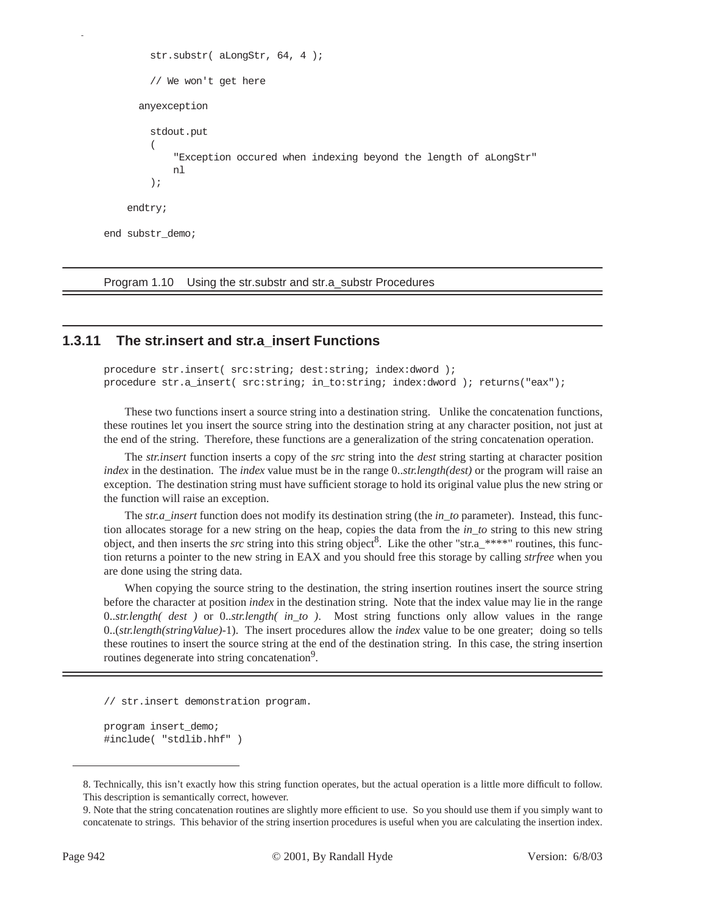```
 str.substr( aLongStr, 64, 4 );
          // We won't get here
        anyexception
          stdout.put
\overline{\phantom{a}} "Exception occured when indexing beyond the length of aLongStr"
              nl
          );
     endtry;
end substr_demo;
```
Program 1.10 Using the str.substr and str.a\_substr Procedures

## **1.3.11 The str.insert and str.a\_insert Functions**

procedure str.insert( src:string; dest:string; index:dword ); procedure str.a\_insert( src:string; in\_to:string; index:dword ); returns("eax");

These two functions insert a source string into a destination string. Unlike the concatenation functions, these routines let you insert the source string into the destination string at any character position, not just at the end of the string. Therefore, these functions are a generalization of the string concatenation operation.

The *str.insert* function inserts a copy of the *src* string into the *dest* string starting at character position *index* in the destination. The *index* value must be in the range 0..*str.length(dest)* or the program will raise an exception. The destination string must have sufficient storage to hold its original value plus the new string or the function will raise an exception.

The *str.a\_insert* function does not modify its destination string (the *in\_to* parameter). Instead, this function allocates storage for a new string on the heap, copies the data from the *in\_to* string to this new string object, and then inserts the *src* string into this string object<sup>8</sup>. Like the other "str.a\_\*\*\*\*" routines, this function returns a pointer to the new string in EAX and you should free this storage by calling *strfree* when you are done using the string data.

When copying the source string to the destination, the string insertion routines insert the source string before the character at position *index* in the destination string. Note that the index value may lie in the range 0..*str.length( dest )* or 0..*str.length( in\_to )*. Most string functions only allow values in the range 0..(*str.length(stringValue)*-1). The insert procedures allow the *index* value to be one greater; doing so tells these routines to insert the source string at the end of the destination string. In this case, the string insertion routines degenerate into string concatenation<sup>9</sup>.

// str.insert demonstration program.

program insert\_demo; #include( "stdlib.hhf" )

<sup>8.</sup> Technically, this isn't exactly how this string function operates, but the actual operation is a little more difficult to follow. This description is semantically correct, however.

<sup>9.</sup> Note that the string concatenation routines are slightly more efficient to use. So you should use them if you simply want to concatenate to strings. This behavior of the string insertion procedures is useful when you are calculating the insertion index.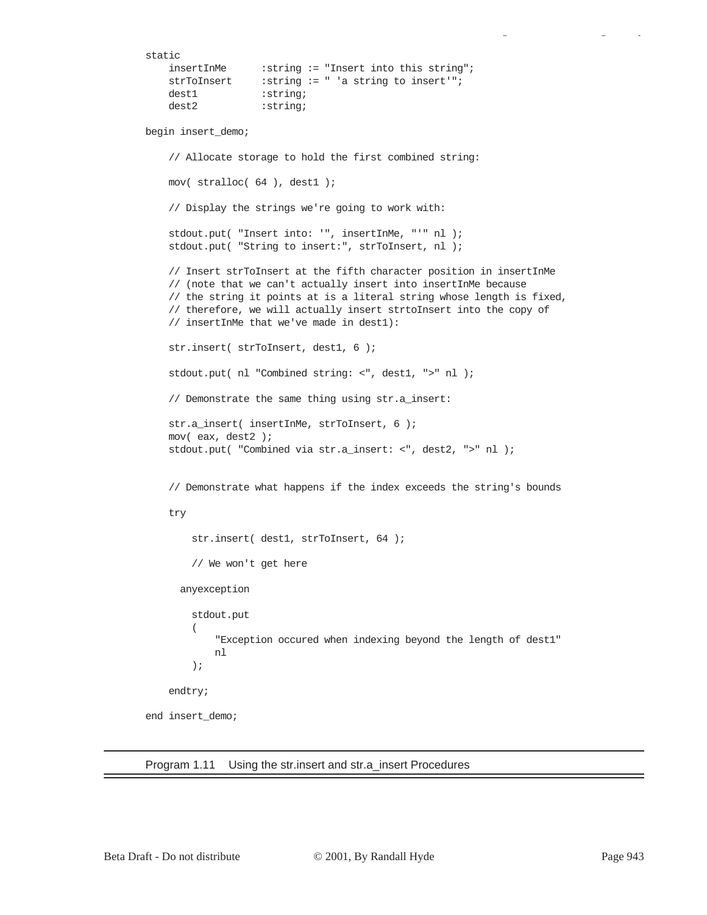```
static
    insertInMe :string := "Insert into this string";
    strToInsert :string := " 'a string to insert'";
    dest1 :string;
    dest2 : string;
begin insert_demo;
     // Allocate storage to hold the first combined string:
     mov( stralloc( 64 ), dest1 );
     // Display the strings we're going to work with:
     stdout.put( "Insert into: '", insertInMe, "'" nl );
    stdout.put( "String to insert:", strToInsert, nl );
     // Insert strToInsert at the fifth character position in insertInMe
     // (note that we can't actually insert into insertInMe because
     // the string it points at is a literal string whose length is fixed,
     // therefore, we will actually insert strtoInsert into the copy of
     // insertInMe that we've made in dest1):
     str.insert( strToInsert, dest1, 6 );
     stdout.put( nl "Combined string: <", dest1, ">" nl );
     // Demonstrate the same thing using str.a_insert:
    str.a_insert( insertInMe, strToInsert, 6 );
     mov( eax, dest2 );
     stdout.put( "Combined via str.a_insert: <", dest2, ">" nl );
     // Demonstrate what happens if the index exceeds the string's bounds
     try
         str.insert( dest1, strToInsert, 64 );
         // We won't get here
       anyexception
         stdout.put
\overline{\phantom{a}} "Exception occured when indexing beyond the length of dest1"
             nl
         );
     endtry;
end insert_demo;
```
Program 1.11 Using the str.insert and str.a\_insert Procedures

gy a gyar a gyar a gyar a gyar a gyar a gyar a gyar a gyar a gyar a gyar a gyar a gyar a gyar a gyar a gyar a<br>Gyar a gyar a gyar a gyar a gyar a gyar a gyar a gyar a gyar a gyar a gyar a gyar a gyar a gyar a gyar a gyar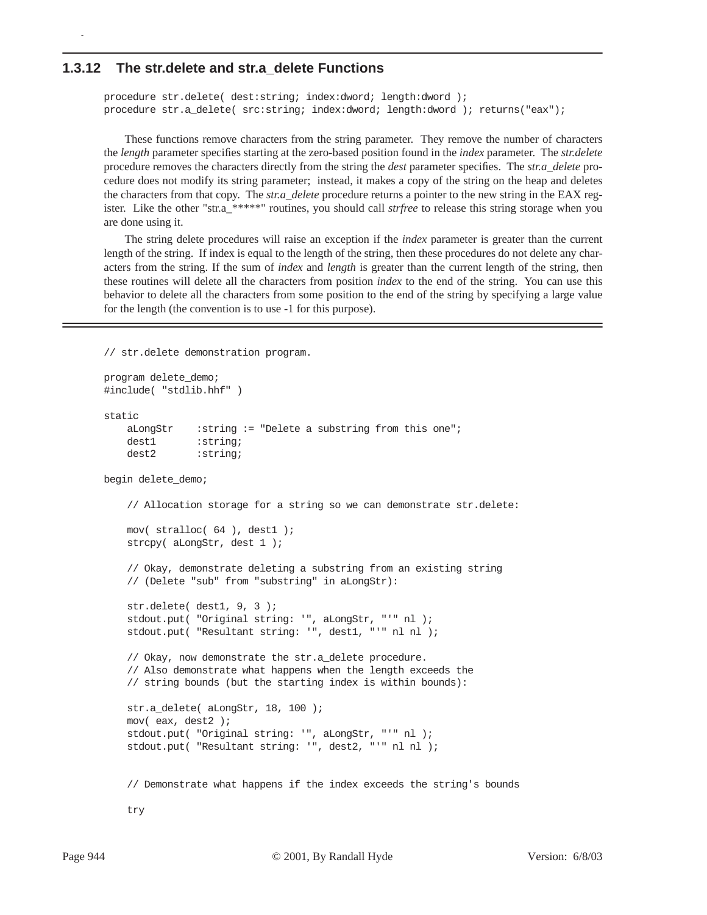#### **1.3.12 The str.delete and str.a\_delete Functions**

p

```
procedure str.delete( dest:string; index:dword; length:dword );
procedure str.a_delete( src:string; index:dword; length:dword ); returns("eax");
```
These functions remove characters from the string parameter. They remove the number of characters the *length* parameter specifies starting at the zero-based position found in the *index* parameter. The *str.delete* procedure removes the characters directly from the string the *dest* parameter specifies. The *str.a\_delete* procedure does not modify its string parameter; instead, it makes a copy of the string on the heap and deletes the characters from that copy. The *str.a\_delete* procedure returns a pointer to the new string in the EAX register. Like the other "str.a\_\*\*\*\*\*" routines, you should call *strfree* to release this string storage when you are done using it.

The string delete procedures will raise an exception if the *index* parameter is greater than the current length of the string. If index is equal to the length of the string, then these procedures do not delete any characters from the string. If the sum of *index* and *length* is greater than the current length of the string, then these routines will delete all the characters from position *index* to the end of the string. You can use this behavior to delete all the characters from some position to the end of the string by specifying a large value for the length (the convention is to use -1 for this purpose).

```
// str.delete demonstration program.
```

```
program delete_demo;
#include( "stdlib.hhf" )
static
   aLongStr :string := "Delete a substring from this one";
   dest1 : string;
   dest2 : string;
begin delete demo;
     // Allocation storage for a string so we can demonstrate str.delete:
    mov( stralloc( 64 ), dest1 );
    strcpy( aLongStr, dest 1 );
     // Okay, demonstrate deleting a substring from an existing string
     // (Delete "sub" from "substring" in aLongStr):
     str.delete( dest1, 9, 3 );
     stdout.put( "Original string: '", aLongStr, "'" nl );
     stdout.put( "Resultant string: '", dest1, "'" nl nl );
     // Okay, now demonstrate the str.a_delete procedure.
     // Also demonstrate what happens when the length exceeds the
     // string bounds (but the starting index is within bounds):
    str.a delete( aLongStr, 18, 100 );
    mov( eax, dest2 );
     stdout.put( "Original string: '", aLongStr, "'" nl );
     stdout.put( "Resultant string: '", dest2, "'" nl nl );
     // Demonstrate what happens if the index exceeds the string's bounds
```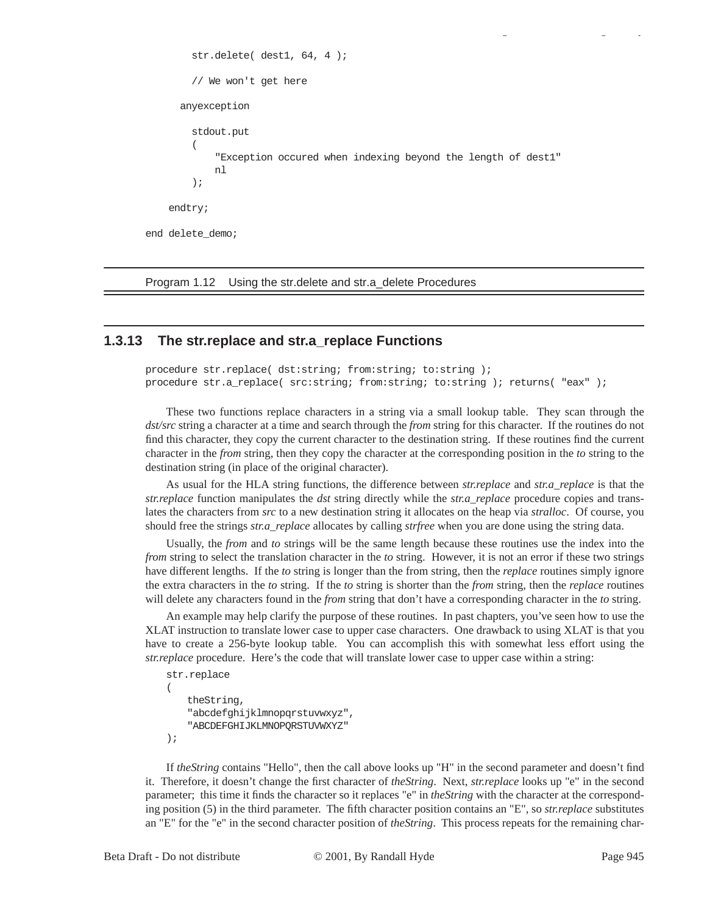```
 str.delete( dest1, 64, 4 );
          // We won't get here
       anyexception
          stdout.put
\overline{\phantom{a}} "Exception occured when indexing beyond the length of dest1"
              nl
          );
     endtry;
end delete_demo;
```
Program 1.12 Using the str.delete and str.a\_delete Procedures

## **1.3.13 The str.replace and str.a\_replace Functions**

procedure str.replace( dst:string; from:string; to:string ); procedure str.a\_replace( src:string; from:string; to:string ); returns( "eax" );

These two functions replace characters in a string via a small lookup table. They scan through the *dst/src* string a character at a time and search through the *from* string for this character. If the routines do not find this character, they copy the current character to the destination string. If these routines find the current character in the *from* string, then they copy the character at the corresponding position in the *to* string to the destination string (in place of the original character).

As usual for the HLA string functions, the difference between *str.replace* and *str.a\_replace* is that the *str.replace* function manipulates the *dst* string directly while the *str.a\_replace* procedure copies and translates the characters from *src* to a new destination string it allocates on the heap via *stralloc*. Of course, you should free the strings *str.a\_replace* allocates by calling *strfree* when you are done using the string data.

Usually, the *from* and *to* strings will be the same length because these routines use the index into the *from* string to select the translation character in the *to* string. However, it is not an error if these two strings have different lengths. If the *to* string is longer than the from string, then the *replace* routines simply ignore the extra characters in the *to* string. If the *to* string is shorter than the *from* string, then the *replace* routines will delete any characters found in the *from* string that don't have a corresponding character in the *to* string.

An example may help clarify the purpose of these routines. In past chapters, you've seen how to use the XLAT instruction to translate lower case to upper case characters. One drawback to using XLAT is that you have to create a 256-byte lookup table. You can accomplish this with somewhat less effort using the *str.replace* procedure. Here's the code that will translate lower case to upper case within a string:

```
str.replace
(
   theString, 
    "abcdefghijklmnopqrstuvwxyz", 
    "ABCDEFGHIJKLMNOPQRSTUVWXYZ"
);
```
If *theString* contains "Hello", then the call above looks up "H" in the second parameter and doesn't find it. Therefore, it doesn't change the first character of *theString*. Next, *str.replace* looks up "e" in the second parameter; this time it finds the character so it replaces "e" in *theString* with the character at the corresponding position (5) in the third parameter. The fifth character position contains an "E", so *str.replace* substitutes an "E" for the "e" in the second character position of *theString*. This process repeats for the remaining char-

gy a gyar a gyar a gyar a gyar a gyar a gyar a gyar a gyar a gyar a gyar a gyar a gyar a gyar a gyar a gyar a<br>Gyar a gyar a gyar a gyar a gyar a gyar a gyar a gyar a gyar a gyar a gyar a gyar a gyar a gyar a gyar a gyar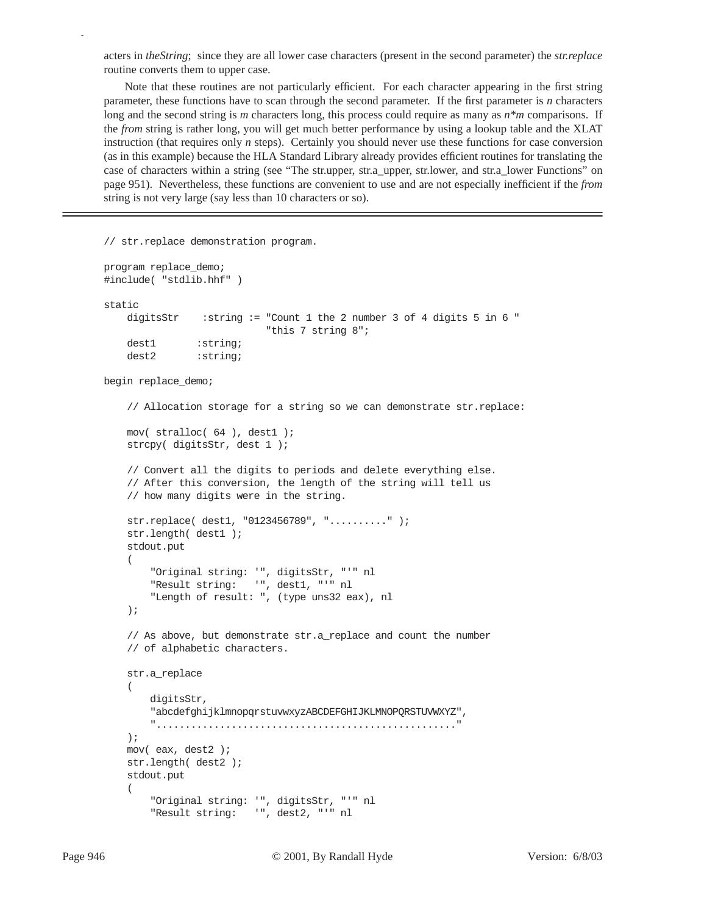acters in *theString*; since they are all lower case characters (present in the second parameter) the *str.replace* routine converts them to upper case.

Note that these routines are not particularly efficient. For each character appearing in the first string parameter, these functions have to scan through the second parameter. If the first parameter is *n* characters long and the second string is *m* characters long, this process could require as many as *n*\**m* comparisons. If the *from* string is rather long, you will get much better performance by using a lookup table and the XLAT instruction (that requires only *n* steps). Certainly you should never use these functions for case conversion (as in this example) because the HLA Standard Library already provides efficient routines for translating the case of characters within a string (see "The str.upper, str.a\_upper, str.lower, and str.a\_lower Functions" on page 951). Nevertheless, these functions are convenient to use and are not especially inefficient if the *from* string is not very large (say less than 10 characters or so).

```
// str.replace demonstration program.
program replace_demo;
#include( "stdlib.hhf" )
static
     digitsStr :string := "Count 1 the 2 number 3 of 4 digits 5 in 6 "
                             "this 7 string 8";
    dest1 :string;
     dest2 :string;
begin replace_demo;
     // Allocation storage for a string so we can demonstrate str.replace:
     mov( stralloc( 64 ), dest1 );
     strcpy( digitsStr, dest 1 );
     // Convert all the digits to periods and delete everything else.
     // After this conversion, the length of the string will tell us
     // how many digits were in the string.
     str.replace( dest1, "0123456789", ".........." );
     str.length( dest1 );
     stdout.put
     (
         "Original string: '", digitsStr, "'" nl
         "Result string: '", dest1, "'" nl
         "Length of result: ", (type uns32 eax), nl
     );
     // As above, but demonstrate str.a_replace and count the number
     // of alphabetic characters.
     str.a_replace
     ( 
         digitsStr, 
         "abcdefghijklmnopqrstuvwxyzABCDEFGHIJKLMNOPQRSTUVWXYZ",
         "...................................................."
     );
     mov( eax, dest2 );
     str.length( dest2 );
     stdout.put
     (
         "Original string: '", digitsStr, "'" nl
         "Result string: '", dest2, "'" nl
```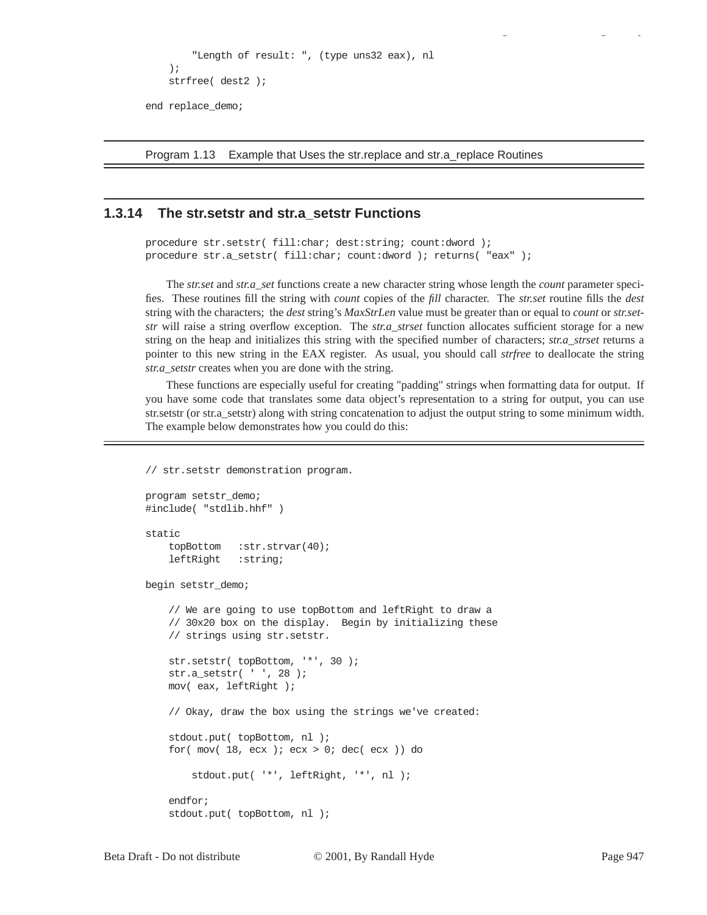```
 "Length of result: ", (type uns32 eax), nl
     );
     strfree( dest2 );
end replace_demo;
```
Program 1.13 Example that Uses the str.replace and str.a\_replace Routines

## **1.3.14 The str.setstr and str.a\_setstr Functions**

```
procedure str.setstr( fill:char; dest:string; count:dword );
procedure str.a_setstr( fill:char; count:dword ); returns( "eax" );
```
The *str.set* and *str.a\_set* functions create a new character string whose length the *count* parameter specifies. These routines fill the string with *count* copies of the *fill* character. The *str.set* routine fills the *dest* string with the characters; the *dest* string's *MaxStrLen* value must be greater than or equal to *count* or *str.setstr* will raise a string overflow exception. The *str.a\_strset* function allocates sufficient storage for a new string on the heap and initializes this string with the specified number of characters; *str.a\_strset* returns a pointer to this new string in the EAX register. As usual, you should call *strfree* to deallocate the string *str.a\_setstr* creates when you are done with the string.

These functions are especially useful for creating "padding" strings when formatting data for output. If you have some code that translates some data object's representation to a string for output, you can use str.setstr (or str.a\_setstr) along with string concatenation to adjust the output string to some minimum width. The example below demonstrates how you could do this:

// str.setstr demonstration program.

```
program setstr_demo;
#include( "stdlib.hhf" )
static
     topBottom :str.strvar(40);
     leftRight :string;
begin setstr_demo;
     // We are going to use topBottom and leftRight to draw a
     // 30x20 box on the display. Begin by initializing these
     // strings using str.setstr.
     str.setstr( topBottom, '*', 30 );
     str.a_setstr( ' ', 28 );
     mov( eax, leftRight );
     // Okay, draw the box using the strings we've created:
     stdout.put( topBottom, nl );
    for(mov( 18, ecx); ex > 0; dec( ecx)) do
         stdout.put( '*', leftRight, '*', nl );
     endfor;
     stdout.put( topBottom, nl );
```
gy a gyar a gyar a gyar a gyar a gyar a gyar a gyar a gyar a gyar a gyar a gyar a gyar a gyar a gyar a gyar a<br>Saol a gyar a gyar a gyar a gyar a gyar a gyar a gyar a gyar a gyar a gyar a gyar a gyar a gyar a gyar a gyar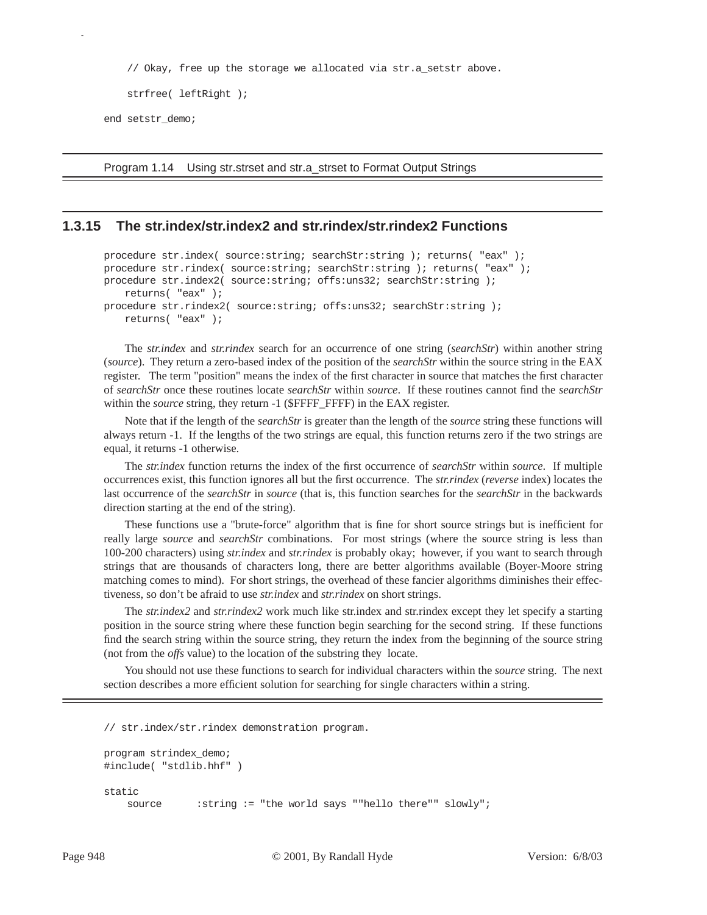// Okay, free up the storage we allocated via str.a\_setstr above.

```
 strfree( leftRight );
```
end setstr demo;

p

Program 1.14 Using str.strset and str.a\_strset to Format Output Strings

## **1.3.15 The str.index/str.index2 and str.rindex/str.rindex2 Functions**

```
procedure str.index( source: string; searchStr: string ); returns( "eax" );
procedure str.rindex( source: string; searchStr: string ); returns( "eax" );
procedure str.index2( source:string; offs:uns32; searchStr:string ); 
   returns( "eax" );
procedure str.rindex2( source:string; offs:uns32; searchStr:string ); 
   returns( "eax" );
```
The *str.index* and *str.rindex* search for an occurrence of one string (*searchStr*) within another string (*source*). They return a zero-based index of the position of the *searchStr* within the source string in the EAX register. The term "position" means the index of the first character in source that matches the first character of *searchStr* once these routines locate *searchStr* within *source*. If these routines cannot find the *searchStr* within the *source* string, they return -1 (\$FFFF\_FFFF) in the EAX register.

Note that if the length of the *searchStr* is greater than the length of the *source* string these functions will always return -1. If the lengths of the two strings are equal, this function returns zero if the two strings are equal, it returns -1 otherwise.

The *str.index* function returns the index of the first occurrence of *searchStr* within *source*. If multiple occurrences exist, this function ignores all but the first occurrence. The *str.rindex* (*reverse* index) locates the last occurrence of the *searchStr* in *source* (that is, this function searches for the *searchStr* in the backwards direction starting at the end of the string).

These functions use a "brute-force" algorithm that is fine for short source strings but is inefficient for really large *source* and *searchStr* combinations. For most strings (where the source string is less than 100-200 characters) using *str.index* and *str.rindex* is probably okay; however, if you want to search through strings that are thousands of characters long, there are better algorithms available (Boyer-Moore string matching comes to mind). For short strings, the overhead of these fancier algorithms diminishes their effectiveness, so don't be afraid to use *str.index* and *str.rindex* on short strings.

The *str.index2* and *str.rindex2* work much like str.index and str.rindex except they let specify a starting position in the source string where these function begin searching for the second string. If these functions find the search string within the source string, they return the index from the beginning of the source string (not from the *offs* value) to the location of the substring they locate.

You should not use these functions to search for individual characters within the *source* string. The next section describes a more efficient solution for searching for single characters within a string.

```
// str.index/str.rindex demonstration program.
program strindex_demo;
#include( "stdlib.hhf" )
static
     source :string := "the world says ""hello there"" slowly";
```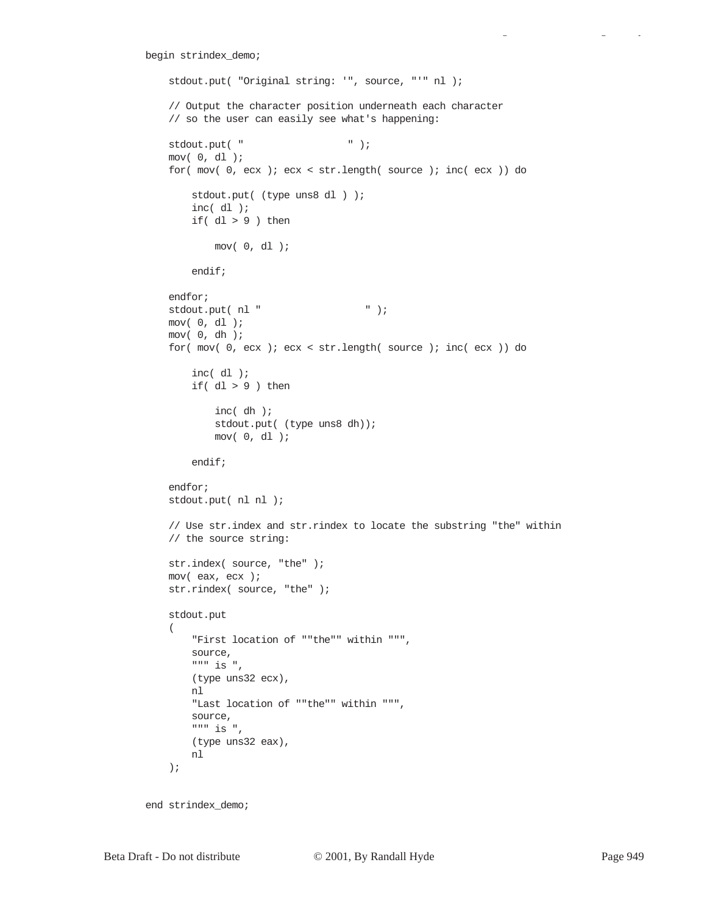```
begin strindex_demo;
     stdout.put( "Original string: '", source, "'" nl );
     // Output the character position underneath each character
     // so the user can easily see what's happening:
    \qquad \qquad \text{stdout.put(} \quad " \qquad \qquad " \quad \text{)}; mov( 0, dl );
     for( mov( 0, ecx ); ecx < str.length( source ); inc( ecx )) do
         stdout.put( (type uns8 dl ) );
         inc( dl );
         if( dl > 9 ) then
             mov( 0, dl );
         endif;
     endfor;
    stdout.put( nl " \qquad " );
     mov( 0, dl );
     mov( 0, dh );
     for( mov( 0, ecx ); ecx < str.length( source ); inc( ecx )) do
         inc( dl );
        if(dl > 9) then
              inc( dh );
             stdout.put( (type uns8 dh));
             mov( 0, dl );
         endif;
     endfor;
     stdout.put( nl nl );
     // Use str.index and str.rindex to locate the substring "the" within
     // the source string:
     str.index( source, "the" );
     mov( eax, ecx );
    str.rindex( source, "the" );
     stdout.put
    \left( "First location of ""the"" within """, 
         source, 
         """ is ", 
         (type uns32 ecx),
         nl
         "Last location of ""the"" within """,
         source,
        " " " " i s " (type uns32 eax),
         nl
     );
```
end strindex\_demo;

gy a gyar a gyar a gyar a gyar a gyar a gyar a gyar a gyar a gyar a gyar a gyar a gyar a gyar a gyar a gyar a<br>Saol a gyar a gyar a gyar a gyar a gyar a gyar a gyar a gyar a gyar a gyar a gyar a gyar a gyar a gyar a gyar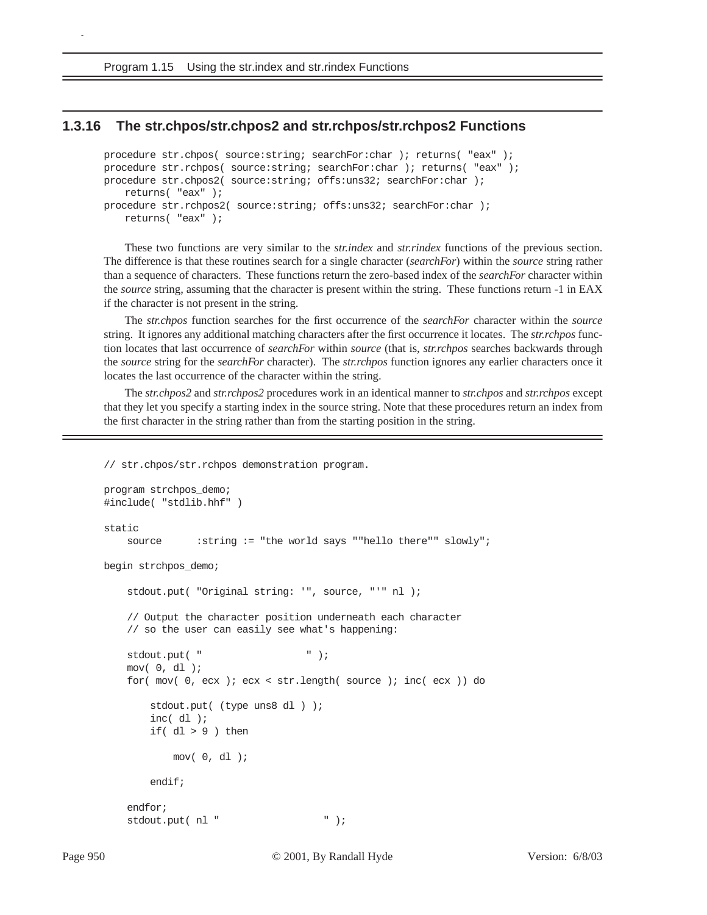Program 1.15 Using the str.index and str.rindex Functions

## **1.3.16 The str.chpos/str.chpos2 and str.rchpos/str.rchpos2 Functions**

```
procedure str.chpos( source:string; searchFor:char ); returns( "eax" );
procedure str.rchpos( source:string; searchFor:char ); returns( "eax" );
procedure str.chpos2( source:string; offs:uns32; searchFor:char ); 
   returns( "eax" );
procedure str.rchpos2( source:string; offs:uns32; searchFor:char ); 
   returns( "eax" );
```
These two functions are very similar to the *str.index* and *str.rindex* functions of the previous section. The difference is that these routines search for a single character (*searchFor*) within the *source* string rather than a sequence of characters. These functions return the zero-based index of the *searchFor* character within the *source* string, assuming that the character is present within the string. These functions return -1 in EAX if the character is not present in the string.

The *str.chpos* function searches for the first occurrence of the *searchFor* character within the *source* string. It ignores any additional matching characters after the first occurrence it locates. The *str.rchpos* function locates that last occurrence of *searchFor* within *source* (that is, *str.rchpos* searches backwards through the *source* string for the *searchFor* character). The *str.rchpos* function ignores any earlier characters once it locates the last occurrence of the character within the string.

The *str.chpos2* and *str.rchpos2* procedures work in an identical manner to *str.chpos* and *str.rchpos* except that they let you specify a starting index in the source string. Note that these procedures return an index from the first character in the string rather than from the starting position in the string.

// str.chpos/str.rchpos demonstration program.

```
program strchpos_demo;
#include( "stdlib.hhf" )
static
   source :string := "the world says ""hello there"" slowly";
begin strchpos_demo;
    stdout.put( "Original string: '", source, "'" nl );
     // Output the character position underneath each character
    // so the user can easily see what's happening:
    stdout.put( " " );
    mov( 0, dl );
     for( mov( 0, ecx ); ecx < str.length( source ); inc( ecx )) do
        stdout.put( (type uns8 dl ) );
        inc( dl );
        if( dl > 9 ) then
            mov( 0, dl );
        endif;
     endfor;
   stdout.put( nl " \qquad " );
```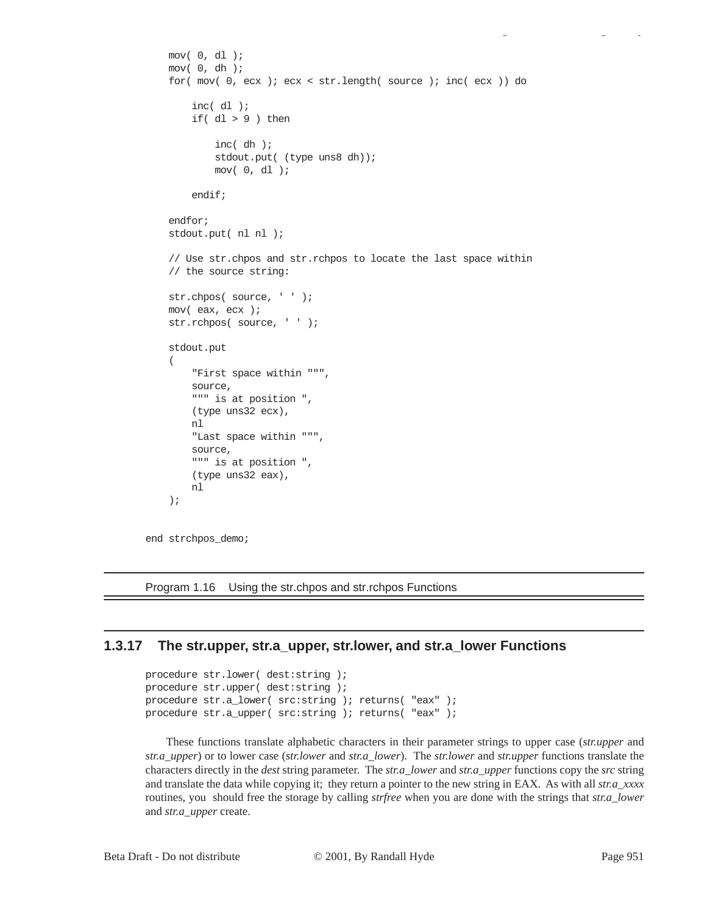```
 mov( 0, dl );
 mov( 0, dh );
 for( mov( 0, ecx ); ecx < str.length( source ); inc( ecx )) do
     inc( dl );
    if(dl > 9) then
         inc( dh );
        stdout.put( (type uns8 dh));
         mov( 0, dl );
     endif;
 endfor;
 stdout.put( nl nl );
 // Use str.chpos and str.rchpos to locate the last space within
 // the source string:
str.chpos(source, ' ' );
 mov( eax, ecx );
str.rchpos(source, ' ' );
 stdout.put
 (
     "First space within """, 
     source, 
     """ is at position ", 
     (type uns32 ecx),
     nl
     "Last space within """,
     source,
     """ is at position ",
     (type uns32 eax),
     nl
 );
```
end strchpos\_demo;

Program 1.16 Using the str.chpos and str.rchpos Functions

#### **1.3.17 The str.upper, str.a\_upper, str.lower, and str.a\_lower Functions**

```
procedure str.lower( dest:string );
procedure str.upper( dest:string );
procedure str.a_lower( src:string ); returns( "eax" );
procedure str.a_upper( src:string ); returns( "eax" );
```
These functions translate alphabetic characters in their parameter strings to upper case (*str.upper* and *str.a\_upper*) or to lower case (*str.lower* and *str.a\_lower*). The *str.lower* and *str.upper* functions translate the characters directly in the *dest* string parameter. The *str.a\_lower* and *str.a\_upper* functions copy the *src* string and translate the data while copying it; they return a pointer to the new string in EAX. As with all *str.a\_xxxx* routines, you should free the storage by calling *strfree* when you are done with the strings that *str.a\_lower* and *str.a\_upper* create.

gy a gyar a gyar a gyar a gyar a gyar a gyar a gyar a gyar a gyar a gyar a gyar a gyar a gyar a gyar a gyar a<br>Saol a gyar a gyar a gyar a gyar a gyar a gyar a gyar a gyar a gyar a gyar a gyar a gyar a gyar a gyar a gyar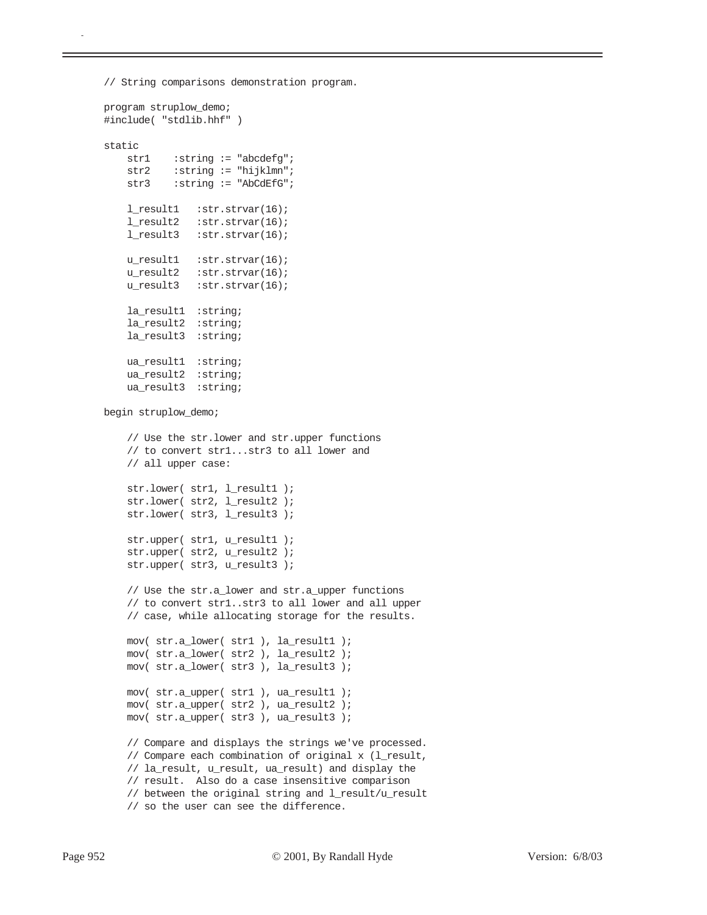```
// String comparisons demonstration program.
```
program struplow\_demo;

```
#include( "stdlib.hhf" )
static
   str1 :string := "abcdefg";
    str2 : string := "hijklmn";
   str3 :string := "AbCdEfG";
    l_result1 :str.strvar(16);
     l_result2 :str.strvar(16);
     l_result3 :str.strvar(16);
   u_result1 :str.strvar(16);
    u_result2 :str.strvar(16);
    u_result3 :str.strvar(16);
     la_result1 :string;
     la_result2 :string;
     la_result3 :string;
    ua_result1 :string;
     ua_result2 :string;
     ua_result3 :string; 
begin struplow_demo;
     // Use the str.lower and str.upper functions
     // to convert str1...str3 to all lower and
     // all upper case:
    str.lower( str1, l_result1 );
   str.lower( str2, l_result2 );
   str.lower( str3, l_result3 );
    str.upper( str1, u_result1 );
    str.upper( str2, u_result2 );
    str.upper( str3, u_result3 );
     // Use the str.a_lower and str.a_upper functions
     // to convert str1..str3 to all lower and all upper
     // case, while allocating storage for the results.
    mov( str.a_lower( str1 ), la_result1 );
    mov( str.a_lower( str2 ), la_result2 );
    mov( str.a_lower( str3 ), la_result3 );
    mov( str.a_upper( str1 ), ua_result1 );
    mov( str.a_upper( str2 ), ua_result2 );
    mov( str.a_upper( str3 ), ua_result3 );
     // Compare and displays the strings we've processed.
     // Compare each combination of original x (l_result,
     // la_result, u_result, ua_result) and display the
     // result. Also do a case insensitive comparison
     // between the original string and l_result/u_result
     // so the user can see the difference.
```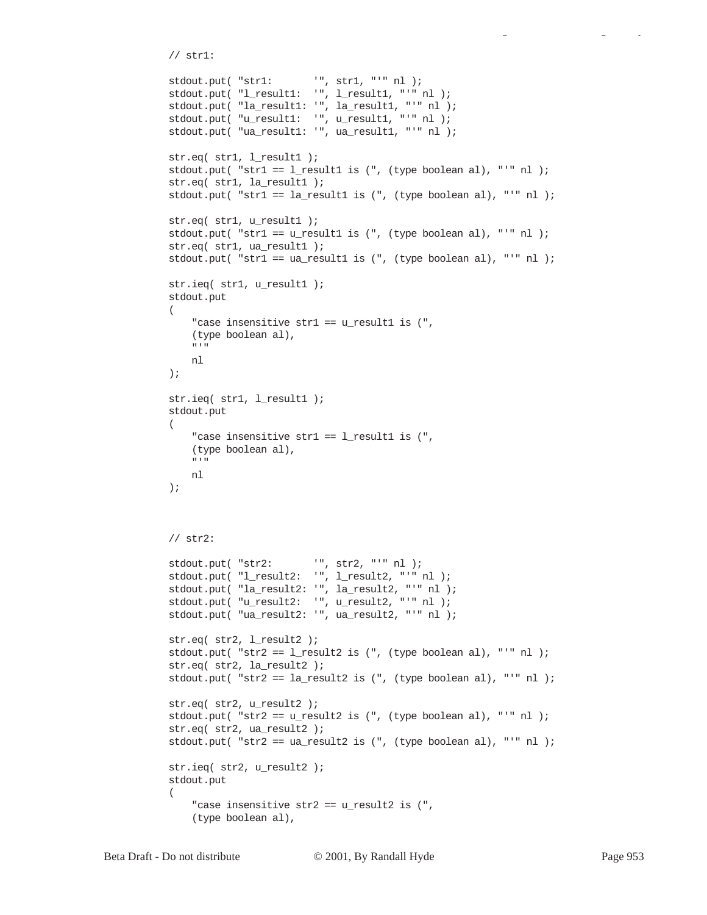```
 // str1:
   \texttt{stdout.put( "str1:} \qquad \qquad \texttt{''}, \texttt{str1}, \texttt{''''} \texttt{nl} \texttt{)}; stdout.put( "l_result1: '", l_result1, "'" nl );
    stdout.put( "la_result1: '", la_result1, "'" nl );
   stdout.put( "u_result1: '", u_result1, "'" nl );
    stdout.put( "ua_result1: '", ua_result1, "'" nl );
    str.eq( str1, l_result1 );
    stdout.put( "str1 == l_result1 is (", (type boolean al), "'" nl );
    str.eq( str1, la_result1 );
    stdout.put( "str1 == la_result1 is (", (type boolean al), "'" nl );
    str.eq( str1, u_result1 );
    stdout.put( "str1 == u_result1 is (", (type boolean al), "'" nl );
    str.eq( str1, ua_result1 );
    stdout.put( "str1 == ua_result1 is (", (type boolean al), "'" nl );
    str.ieq( str1, u_result1 );
    stdout.put
     ( 
         "case insensitive str1 == u_result1 is (", 
         (type boolean al), 
        "'" 
         nl 
     );
     str.ieq( str1, l_result1 );
    stdout.put
    \left("case insensitive str1 == l_result1 is (",
         (type boolean al), 
 "'" 
        nl 
     );
     // str2:
   stdout.put( "str2: '", str2, "'" nl );
   stdout.put( "l_result2: '", l_result2, "'" nl );
    stdout.put( "la_result2: '", la_result2, "'" nl );
    stdout.put( "u_result2: '", u_result2, "'" nl );
    stdout.put( "ua_result2: '", ua_result2, "'" nl );
    str.eq( str2, l_result2 );
   stdout.put( "str2 == 1 result2 is (", (type boolean al), "'" nl );
    str.eq( str2, la_result2 );
    stdout.put( "str2 == la_result2 is (", (type boolean al), "'" nl );
    str.eq( str2, u_result2 );
    stdout.put( "str2 == u_result2 is (", (type boolean al), "'" nl );
   str.eq( str2, ua_result2 );
   stdout.put( "str2 == ua\_result2 is (", (type boolean al), "'" nl);
    str.ieq( str2, u_result2 );
     stdout.put
     ( 
        "case insensitive str2 == u result2 is (",
         (type boolean al),
```
gy a gyar a gyar a gyar a gyar a gyar a gyar a gyar a gyar a gyar a gyar a gyar a gyar a gyar a gyar a gyar a<br>Saol a gyar a gyar a gyar a gyar a gyar a gyar a gyar a gyar a gyar a gyar a gyar a gyar a gyar a gyar a gyar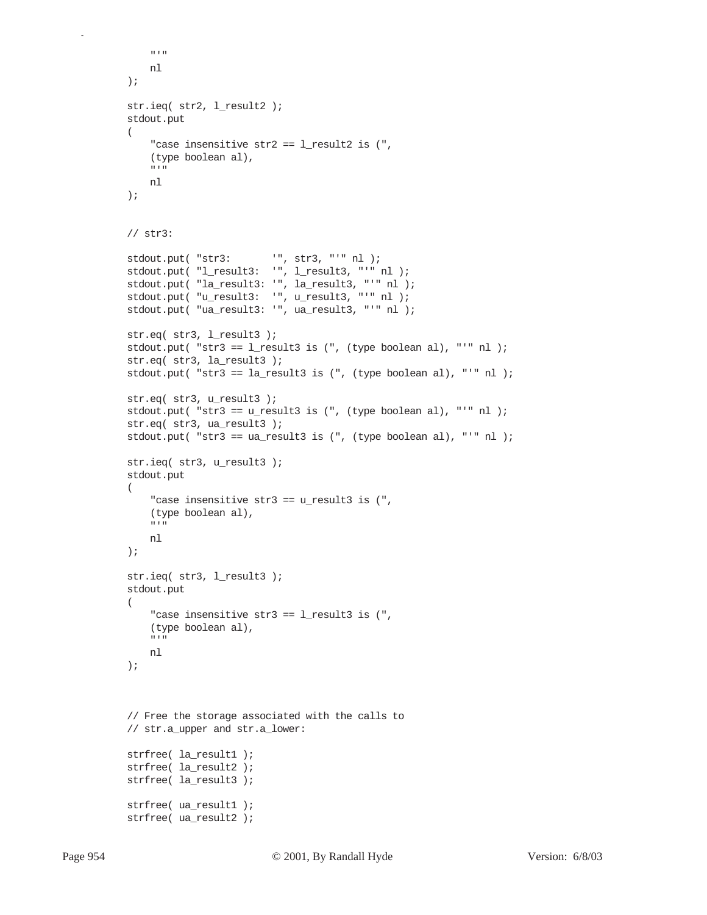```
\cdots nl 
 );
 str.ieq( str2, l_result2 );
 stdout.put
 ( 
    "case insensitive str2 == l_result2 is (",
     (type boolean al), 
    \cdots nl 
 );
 // str3:
stdout.put( "str3: '", str3, "'" nl );
 stdout.put( "l_result3: '", l_result3, "'" nl );
 stdout.put( "la_result3: '", la_result3, "'" nl );
 stdout.put( "u_result3: '", u_result3, "'" nl );
 stdout.put( "ua_result3: '", ua_result3, "'" nl );
 str.eq( str3, l_result3 );
stdout.put( "str3 == l_result3 is (", (type boolean al), "'" nl );
 str.eq( str3, la_result3 );
 stdout.put( "str3 == la_result3 is (", (type boolean al), "'" nl );
 str.eq( str3, u_result3 );
 stdout.put( "str3 == u_result3 is (", (type boolean al), "'" nl );
 str.eq( str3, ua_result3 );
stdout.put( "str3 == ua\_result3 is (", (type boolean al), "'" nl);
 str.ieq( str3, u_result3 );
 stdout.put
 ( 
    "case insensitive str3 == u result3 is (",
     (type boolean al), 
    \mathbf{u} \rightarrow \mathbf{u} nl 
 );
 str.ieq( str3, l_result3 );
 stdout.put
 ( 
    "case insensitive str3 == l_result3 is (",
     (type boolean al), 
     "'" 
     nl 
 );
 // Free the storage associated with the calls to
 // str.a_upper and str.a_lower:
 strfree( la_result1 );
 strfree( la_result2 );
 strfree( la_result3 );
strfree( ua result1 );
 strfree( ua_result2 );
```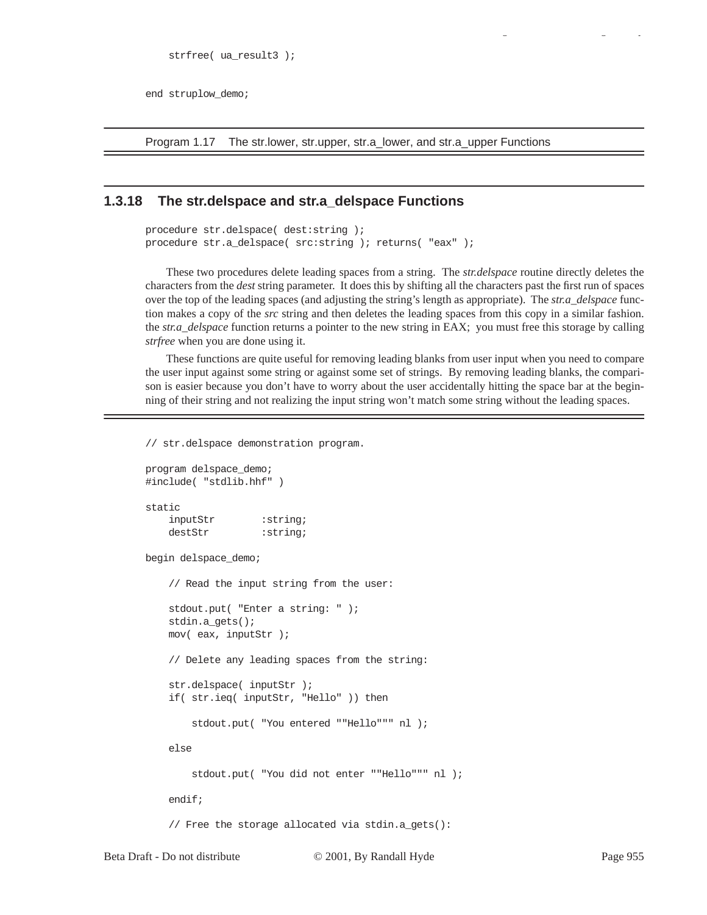end struplow\_demo;

Program 1.17 The str.lower, str.upper, str.a\_lower, and str.a\_upper Functions

## **1.3.18 The str.delspace and str.a\_delspace Functions**

```
procedure str.delspace( dest:string );
procedure str.a_delspace( src:string ); returns( "eax" );
```
These two procedures delete leading spaces from a string. The *str.delspace* routine directly deletes the characters from the *dest* string parameter. It does this by shifting all the characters past the first run of spaces over the top of the leading spaces (and adjusting the string's length as appropriate). The *str.a\_delspace* function makes a copy of the *src* string and then deletes the leading spaces from this copy in a similar fashion. the *str.a\_delspace* function returns a pointer to the new string in EAX; you must free this storage by calling *strfree* when you are done using it.

These functions are quite useful for removing leading blanks from user input when you need to compare the user input against some string or against some set of strings. By removing leading blanks, the comparison is easier because you don't have to worry about the user accidentally hitting the space bar at the beginning of their string and not realizing the input string won't match some string without the leading spaces.

Beta Draft - Do not distribute  $\degree$   $\degree$  2001, By Randall Hyde Page 955 // str.delspace demonstration program. program delspace\_demo; #include( "stdlib.hhf" ) static inputStr : string; destStr : string; begin delspace\_demo; // Read the input string from the user: stdout.put( "Enter a string: " ); stdin.a\_gets(); mov( eax, inputStr ); // Delete any leading spaces from the string: str.delspace( inputStr ); if( str.ieq( inputStr, "Hello" )) then stdout.put( "You entered ""Hello""" nl ); else stdout.put( "You did not enter ""Hello""" nl ); endif; // Free the storage allocated via stdin.a\_gets():

gy a gyar a gyar a gyar a gyar a gyar a gyar a gyar a gyar a gyar a gyar a gyar a gyar a gyar a gyar a gyar a<br>Saol a gyar a gyar a gyar a gyar a gyar a gyar a gyar a gyar a gyar a gyar a gyar a gyar a gyar a gyar a gyar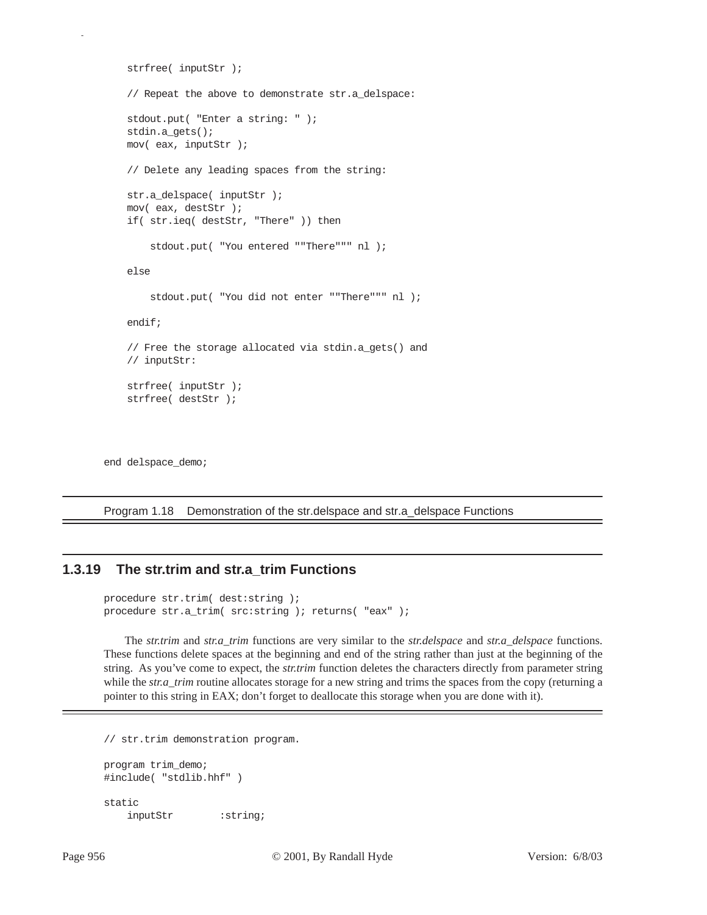```
 strfree( inputStr );
 // Repeat the above to demonstrate str.a_delspace:
 stdout.put( "Enter a string: " );
 stdin.a_gets();
 mov( eax, inputStr );
 // Delete any leading spaces from the string:
str.a delspace( inputStr );
 mov( eax, destStr );
 if( str.ieq( destStr, "There" )) then
     stdout.put( "You entered ""There""" nl );
 else
     stdout.put( "You did not enter ""There""" nl );
 endif;
 // Free the storage allocated via stdin.a_gets() and
 // inputStr:
 strfree( inputStr );
 strfree( destStr );
```
end delspace\_demo;

p

Program 1.18 Demonstration of the str.delspace and str.a\_delspace Functions

## **1.3.19 The str.trim and str.a\_trim Functions**

```
procedure str.trim( dest:string );
procedure str.a_trim( src:string ); returns( "eax" );
```
The *str.trim* and *str.a\_trim* functions are very similar to the *str.delspace* and *str.a\_delspace* functions. These functions delete spaces at the beginning and end of the string rather than just at the beginning of the string. As you've come to expect, the *str.trim* function deletes the characters directly from parameter string while the *str.a\_trim* routine allocates storage for a new string and trims the spaces from the copy (returning a pointer to this string in EAX; don't forget to deallocate this storage when you are done with it).

// str.trim demonstration program.

```
program trim_demo;
#include( "stdlib.hhf" )
static
   inputStr : string;
```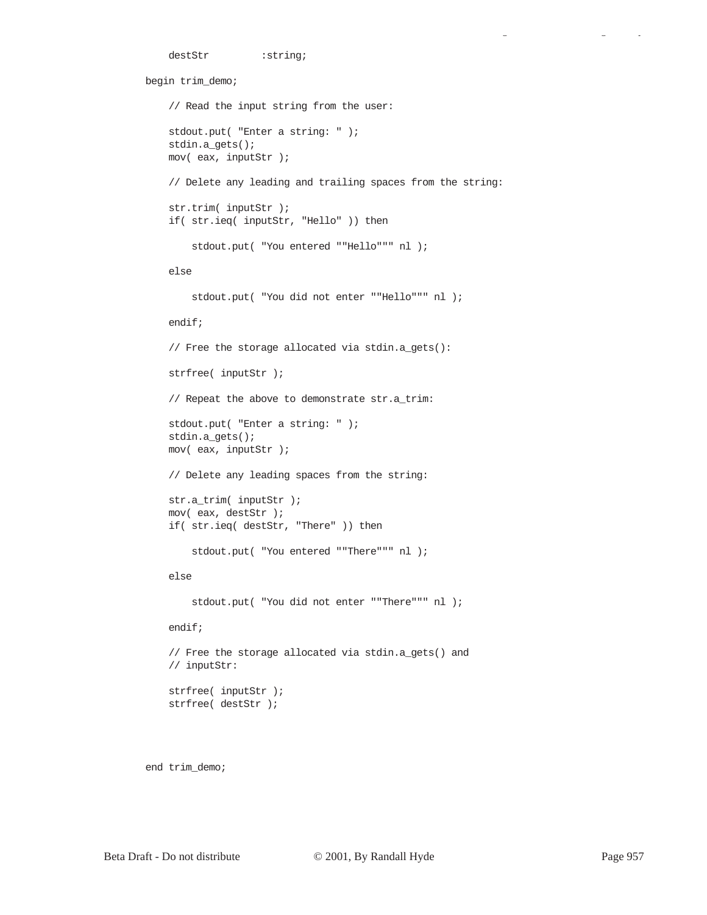```
destStr : string;
begin trim_demo;
     // Read the input string from the user:
     stdout.put( "Enter a string: " );
     stdin.a_gets();
     mov( eax, inputStr );
     // Delete any leading and trailing spaces from the string:
     str.trim( inputStr );
     if( str.ieq( inputStr, "Hello" )) then
         stdout.put( "You entered ""Hello""" nl );
     else
         stdout.put( "You did not enter ""Hello""" nl );
     endif;
     // Free the storage allocated via stdin.a_gets():
     strfree( inputStr );
     // Repeat the above to demonstrate str.a_trim:
     stdout.put( "Enter a string: " );
     stdin.a_gets();
     mov( eax, inputStr );
     // Delete any leading spaces from the string:
     str.a_trim( inputStr );
     mov( eax, destStr );
     if( str.ieq( destStr, "There" )) then
         stdout.put( "You entered ""There""" nl );
     else
         stdout.put( "You did not enter ""There""" nl );
     endif;
     // Free the storage allocated via stdin.a_gets() and
     // inputStr:
     strfree( inputStr );
     strfree( destStr );
```
end trim\_demo;

gy a gyar a gyar a gyar a gyar a gyar a gyar a gyar a gyar a gyar a gyar a gyar a gyar a gyar a gyar a gyar a<br>Saol a gyar a gyar a gyar a gyar a gyar a gyar a gyar a gyar a gyar a gyar a gyar a gyar a gyar a gyar a gyar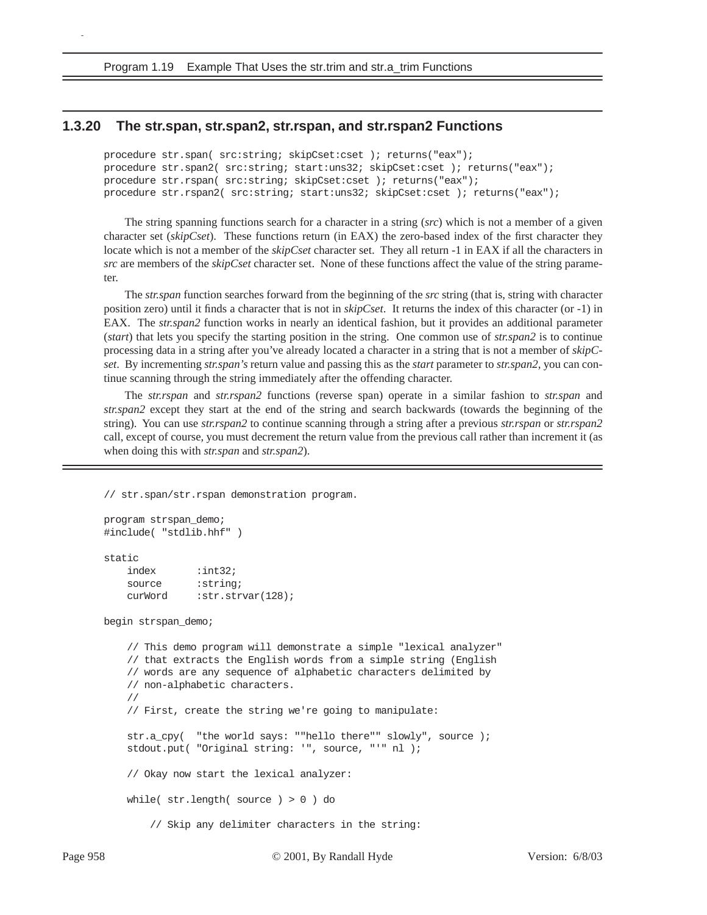Program 1.19 Example That Uses the str.trim and str.a\_trim Functions

## **1.3.20 The str.span, str.span2, str.rspan, and str.rspan2 Functions**

procedure str.span( src:string; skipCset:cset ); returns("eax"); procedure str.span2( src:string; start:uns32; skipCset:cset ); returns("eax"); procedure str.rspan( src:string; skipCset:cset ); returns("eax"); procedure str.rspan2( src:string; start:uns32; skipCset:cset ); returns("eax");

The string spanning functions search for a character in a string (*src*) which is not a member of a given character set (*skipCset*). These functions return (in EAX) the zero-based index of the first character they locate which is not a member of the *skipCset* character set. They all return -1 in EAX if all the characters in *src* are members of the *skipCset* character set. None of these functions affect the value of the string parameter.

The *str.span* function searches forward from the beginning of the *src* string (that is, string with character position zero) until it finds a character that is not in *skipCset*. It returns the index of this character (or -1) in EAX. The *str.span2* function works in nearly an identical fashion, but it provides an additional parameter (*start*) that lets you specify the starting position in the string. One common use of *str.span2* is to continue processing data in a string after you've already located a character in a string that is not a member of *skipCset*. By incrementing *str.span's* return value and passing this as the *start* parameter to *str.span2*, you can continue scanning through the string immediately after the offending character.

The *str.rspan* and *str.rspan2* functions (reverse span) operate in a similar fashion to *str.span* and *str.span2* except they start at the end of the string and search backwards (towards the beginning of the string). You can use *str.rspan2* to continue scanning through a string after a previous *str.rspan* or *str.rspan2* call, except of course, you must decrement the return value from the previous call rather than increment it (as when doing this with *str.span* and *str.span2*).

// str.span/str.rspan demonstration program.

```
program strspan_demo;
#include( "stdlib.hhf" )
```
static

p

 index :int32; source : string; curWord : str.strvar(128);

begin strspan\_demo;

```
 // This demo program will demonstrate a simple "lexical analyzer"
 // that extracts the English words from a simple string (English
 // words are any sequence of alphabetic characters delimited by
 // non-alphabetic characters.
 //
 // First, create the string we're going to manipulate:
 str.a_cpy( "the world says: ""hello there"" slowly", source );
 stdout.put( "Original string: '", source, "'" nl );
 // Okay now start the lexical analyzer:
 while( str.length( source ) > 0 ) do
     // Skip any delimiter characters in the string:
```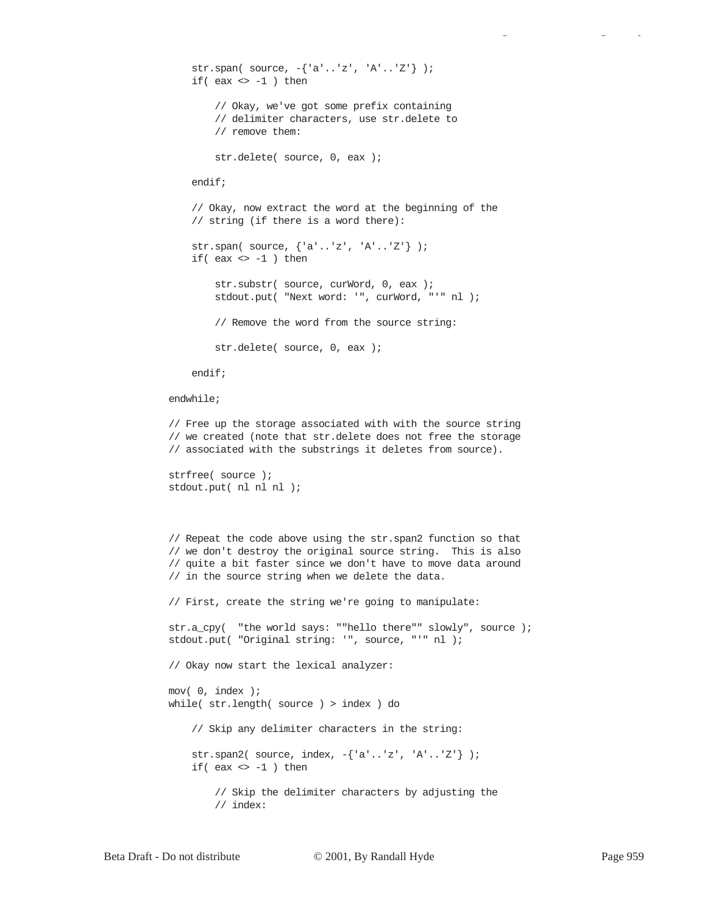```
 str.span( source, -{'a'..'z', 'A'..'Z'} );
    if( eax \Leftrightarrow -1 ) then
         // Okay, we've got some prefix containing
         // delimiter characters, use str.delete to
         // remove them:
         str.delete( source, 0, eax );
     endif;
     // Okay, now extract the word at the beginning of the
     // string (if there is a word there):
     str.span( source, {'a'..'z', 'A'..'Z'} );
    if( eax \Leftrightarrow -1 ) then
        str.substr( source, curWord, 0, eax );
         stdout.put( "Next word: '", curWord, "'" nl );
         // Remove the word from the source string:
         str.delete( source, 0, eax );
     endif;
 endwhile;
 // Free up the storage associated with with the source string
 // we created (note that str.delete does not free the storage
 // associated with the substrings it deletes from source).
 strfree( source );
 stdout.put( nl nl nl );
 // Repeat the code above using the str.span2 function so that
 // we don't destroy the original source string. This is also
 // quite a bit faster since we don't have to move data around
 // in the source string when we delete the data.
 // First, create the string we're going to manipulate:
 str.a_cpy( "the world says: ""hello there"" slowly", source );
 stdout.put( "Original string: '", source, "'" nl );
 // Okay now start the lexical analyzer:
 mov( 0, index );
 while( str.length( source ) > index ) do
     // Skip any delimiter characters in the string:
     str.span2( source, index, -{'a'..'z', 'A'..'Z'} );
    if( eax \Leftrightarrow -1 ) then
         // Skip the delimiter characters by adjusting the
         // index:
```
gy a gyar a gyar a gyar a gyar a gyar a gyar a gyar a gyar a gyar a gyar a gyar a gyar a gyar a gyar a gyar a<br>Saol a gyar a gyar a gyar a gyar a gyar a gyar a gyar a gyar a gyar a gyar a gyar a gyar a gyar a gyar a gyar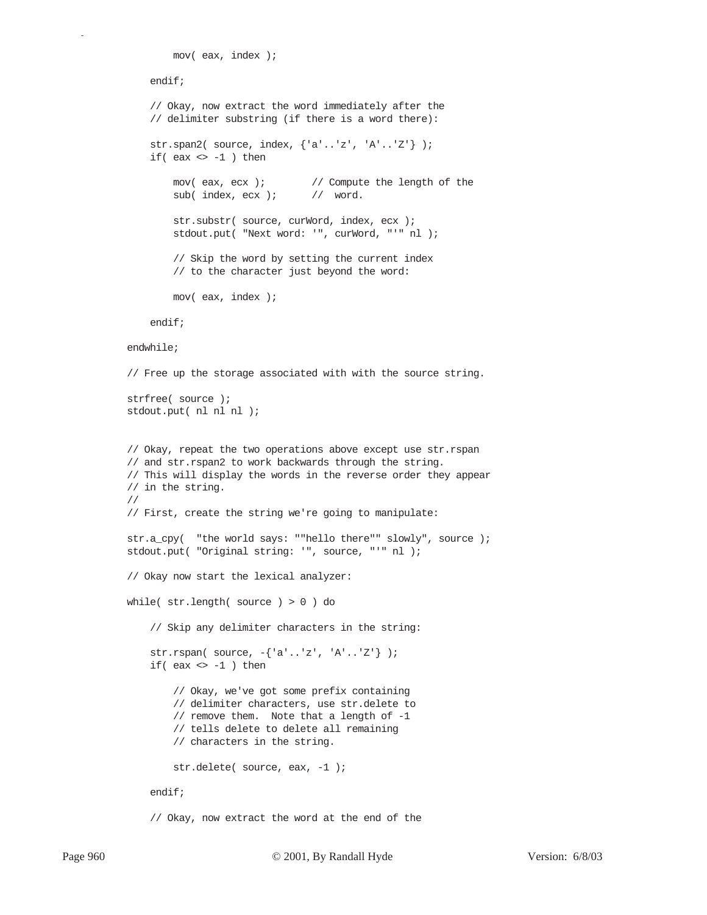```
 mov( eax, index );
     endif;
     // Okay, now extract the word immediately after the
     // delimiter substring (if there is a word there):
     str.span2( source, index, {'a'..'z', 'A'..'Z'} );
    if( eax \Leftrightarrow -1 ) then
        mov( eax, ecx ); // Compute the length of the
        sub(index, ecx ); // word.
        str.substr( source, curWord, index, ecx );
         stdout.put( "Next word: '", curWord, "'" nl );
         // Skip the word by setting the current index
         // to the character just beyond the word:
         mov( eax, index );
     endif;
 endwhile;
 // Free up the storage associated with with the source string.
 strfree( source );
stdout.put( nl nl nl );
 // Okay, repeat the two operations above except use str.rspan
 // and str.rspan2 to work backwards through the string.
 // This will display the words in the reverse order they appear
 // in the string.
 //
 // First, create the string we're going to manipulate:
 str.a_cpy( "the world says: ""hello there"" slowly", source );
 stdout.put( "Original string: '", source, "'" nl );
 // Okay now start the lexical analyzer:
 while( str.length( source ) > 0 ) do
     // Skip any delimiter characters in the string:
     str.rspan( source, -{'a'..'z', 'A'..'Z'} );
    if( eax \le -1 ) then
         // Okay, we've got some prefix containing
         // delimiter characters, use str.delete to
         // remove them. Note that a length of -1
         // tells delete to delete all remaining
         // characters in the string.
        str.delete( source, eax, -1 );
     endif;
```
// Okay, now extract the word at the end of the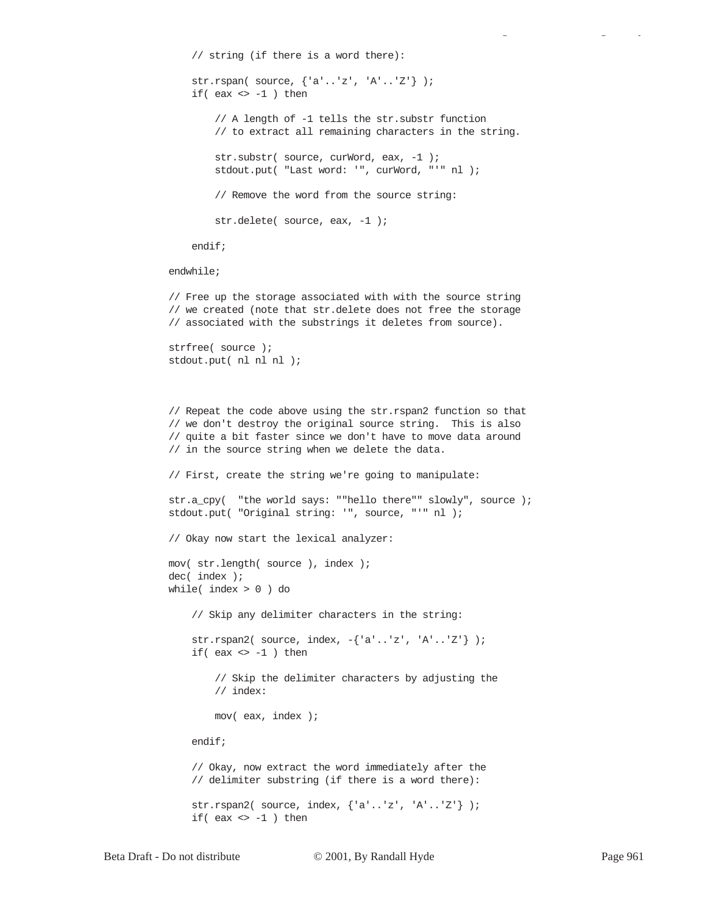```
 // string (if there is a word there):
     str.rspan( source, {'a'..'z', 'A'..'Z'} );
    if( eax \le -1 ) then
         // A length of -1 tells the str.substr function
         // to extract all remaining characters in the string.
        str.substr( source, curWord, eax, -1 );
         stdout.put( "Last word: '", curWord, "'" nl );
         // Remove the word from the source string:
        str.delete( source, eax, -1 );
     endif;
 endwhile;
```
 // Free up the storage associated with with the source string // we created (note that str.delete does not free the storage // associated with the substrings it deletes from source).

```
 strfree( source );
stdout.put( nl nl nl );
```

```
 // Repeat the code above using the str.rspan2 function so that
 // we don't destroy the original source string. This is also
 // quite a bit faster since we don't have to move data around
 // in the source string when we delete the data.
 // First, create the string we're going to manipulate:
 str.a_cpy( "the world says: ""hello there"" slowly", source );
 stdout.put( "Original string: '", source, "'" nl );
 // Okay now start the lexical analyzer:
 mov( str.length( source ), index );
 dec( index );
 while( index > 0 ) do
     // Skip any delimiter characters in the string:
     str.rspan2( source, index, -{'a'..'z', 'A'..'Z'} );
    if( eax \le -1 ) then
         // Skip the delimiter characters by adjusting the
         // index:
         mov( eax, index );
     endif;
     // Okay, now extract the word immediately after the
```
 str.rspan2( source, index, {'a'..'z', 'A'..'Z'} ); if(  $eax \Leftrightarrow -1$  ) then

// delimiter substring (if there is a word there):

gy a gyar a gyar a gyar a gyar a gyar a gyar a gyar a gyar a gyar a gyar a gyar a gyar a gyar a gyar a gyar a<br>Saol a gyar a gyar a gyar a gyar a gyar a gyar a gyar a gyar a gyar a gyar a gyar a gyar a gyar a gyar a gyar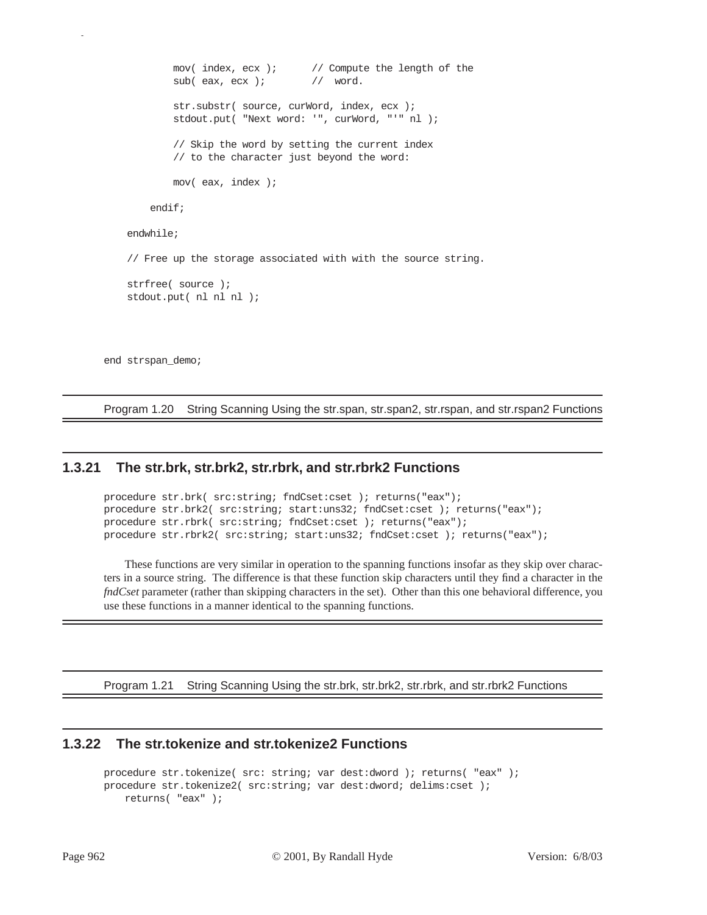```
mov( index, ecx ); \qquad // Compute the length of the
        sub( eax, ecx ); // word.
        str.substr( source, curWord, index, ecx );
         stdout.put( "Next word: '", curWord, "'" nl );
         // Skip the word by setting the current index
         // to the character just beyond the word:
         mov( eax, index );
     endif;
 endwhile;
 // Free up the storage associated with with the source string.
 strfree( source );
stdout.put( nl nl nl );
```
end strspan\_demo;

p

Program 1.20 String Scanning Using the str.span, str.span2, str.rspan, and str.rspan2 Functions

## **1.3.21 The str.brk, str.brk2, str.rbrk, and str.rbrk2 Functions**

```
procedure str.brk( src:string; fndCset:cset ); returns("eax");
procedure str.brk2( src:string; start:uns32; fndCset:cset ); returns("eax");
procedure str.rbrk( src:string; fndCset:cset ); returns("eax");
procedure str.rbrk2( src:string; start:uns32; fndCset:cset ); returns("eax");
```
These functions are very similar in operation to the spanning functions insofar as they skip over characters in a source string. The difference is that these function skip characters until they find a character in the *fndCset* parameter (rather than skipping characters in the set). Other than this one behavioral difference, you use these functions in a manner identical to the spanning functions.

Program 1.21 String Scanning Using the str.brk, str.brk2, str.rbrk, and str.rbrk2 Functions

## **1.3.22 The str.tokenize and str.tokenize2 Functions**

```
procedure str.tokenize( src: string; var dest:dword ); returns( "eax" );
procedure str.tokenize2( src:string; var dest:dword; delims:cset ); 
   returns( "eax" );
```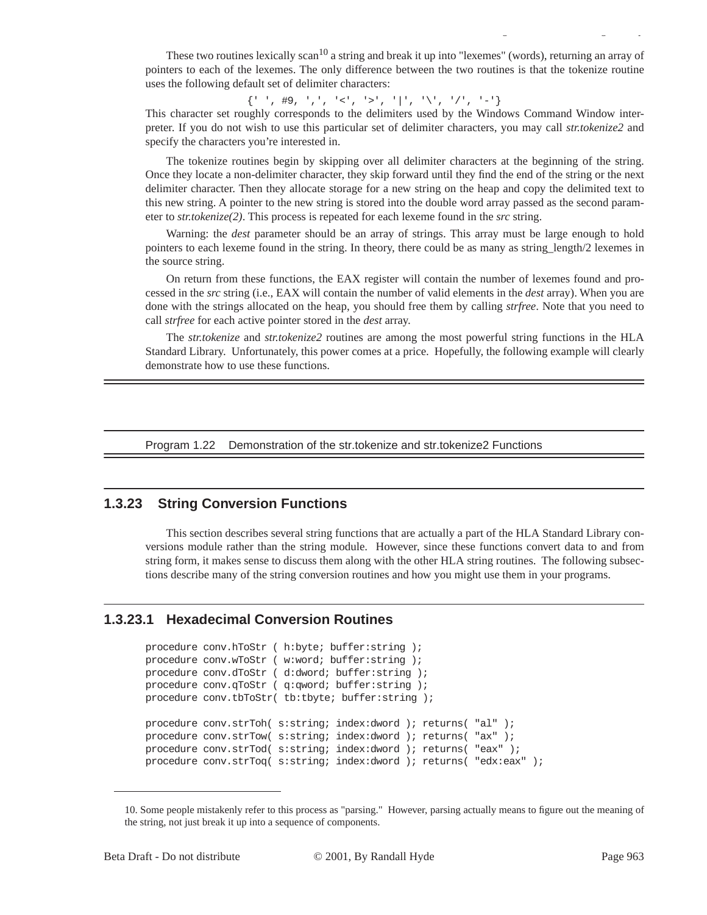These two routines lexically scan<sup>10</sup> a string and break it up into "lexemes" (words), returning an array of pointers to each of the lexemes. The only difference between the two routines is that the tokenize routine uses the following default set of delimiter characters:

gy a gyar a gyar a gyar a gyar a gyar a gyar a gyar a gyar a gyar a gyar a gyar a gyar a gyar a gyar a gyar a<br>Saol a gyar a gyar a gyar a gyar a gyar a gyar a gyar a gyar a gyar a gyar a gyar a gyar a gyar a gyar a gyar

 ${ ' \choose \ }$ , #9, ',', '<', '>', '|', '\', '/', '-'}

This character set roughly corresponds to the delimiters used by the Windows Command Window interpreter. If you do not wish to use this particular set of delimiter characters, you may call *str.tokenize2* and specify the characters you're interested in.

The tokenize routines begin by skipping over all delimiter characters at the beginning of the string. Once they locate a non-delimiter character, they skip forward until they find the end of the string or the next delimiter character. Then they allocate storage for a new string on the heap and copy the delimited text to this new string. A pointer to the new string is stored into the double word array passed as the second parameter to *str.tokenize(2)*. This process is repeated for each lexeme found in the *src* string.

Warning: the *dest* parameter should be an array of strings. This array must be large enough to hold pointers to each lexeme found in the string. In theory, there could be as many as string\_length/2 lexemes in the source string.

On return from these functions, the EAX register will contain the number of lexemes found and processed in the *src* string (i.e., EAX will contain the number of valid elements in the *dest* array). When you are done with the strings allocated on the heap, you should free them by calling *strfree*. Note that you need to call *strfree* for each active pointer stored in the *dest* array.

The *str.tokenize* and *str.tokenize2* routines are among the most powerful string functions in the HLA Standard Library. Unfortunately, this power comes at a price. Hopefully, the following example will clearly demonstrate how to use these functions.

Program 1.22 Demonstration of the str.tokenize and str.tokenize2 Functions

## **1.3.23 String Conversion Functions**

This section describes several string functions that are actually a part of the HLA Standard Library conversions module rather than the string module. However, since these functions convert data to and from string form, it makes sense to discuss them along with the other HLA string routines. The following subsections describe many of the string conversion routines and how you might use them in your programs.

#### **1.3.23.1 Hexadecimal Conversion Routines**

```
procedure conv.hToStr ( h:byte; buffer:string );
procedure conv.wToStr ( w:word; buffer:string );
procedure conv.dToStr ( d:dword; buffer:string );
procedure conv.qToStr ( q:qword; buffer:string );
procedure conv.tbToStr( tb:tbyte; buffer:string );
procedure conv.strToh( s:string; index:dword ); returns( "al" );
procedure conv.strTow( s:string; index:dword ); returns( "ax" );
procedure conv.strTod( s:string; index:dword ); returns( "eax" );
procedure conv.strToq( s:string; index:dword ); returns( "edx:eax" );
```
<sup>10.</sup> Some people mistakenly refer to this process as "parsing." However, parsing actually means to figure out the meaning of the string, not just break it up into a sequence of components.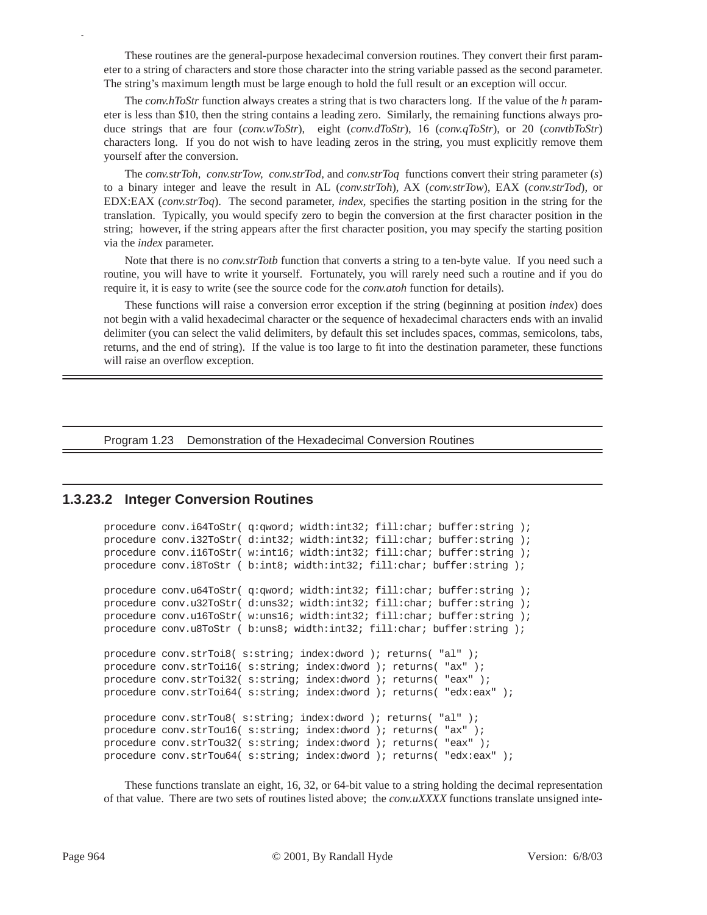These routines are the general-purpose hexadecimal conversion routines. They convert their first parameter to a string of characters and store those character into the string variable passed as the second parameter. The string's maximum length must be large enough to hold the full result or an exception will occur.

The *conv.hToStr* function always creates a string that is two characters long. If the value of the *h* parameter is less than \$10, then the string contains a leading zero. Similarly, the remaining functions always produce strings that are four (*conv.wToStr*), eight (*conv.dToStr*), 16 (*conv.qToStr*), or 20 (*convtbToStr*) characters long. If you do not wish to have leading zeros in the string, you must explicitly remove them yourself after the conversion.

The *conv.strToh, conv.strTow, conv.strTod,* and *conv.strToq* functions convert their string parameter (*s*) to a binary integer and leave the result in AL (*conv.strToh*), AX (*conv.strTow*), EAX (*conv.strTod*), or EDX:EAX (*conv.strToq*). The second parameter, *index*, specifies the starting position in the string for the translation. Typically, you would specify zero to begin the conversion at the first character position in the string; however, if the string appears after the first character position, you may specify the starting position via the *index* parameter.

Note that there is no *conv.strTotb* function that converts a string to a ten-byte value. If you need such a routine, you will have to write it yourself. Fortunately, you will rarely need such a routine and if you do require it, it is easy to write (see the source code for the *conv.atoh* function for details).

These functions will raise a conversion error exception if the string (beginning at position *index*) does not begin with a valid hexadecimal character or the sequence of hexadecimal characters ends with an invalid delimiter (you can select the valid delimiters, by default this set includes spaces, commas, semicolons, tabs, returns, and the end of string). If the value is too large to fit into the destination parameter, these functions will raise an overflow exception.

Program 1.23 Demonstration of the Hexadecimal Conversion Routines

#### **1.3.23.2 Integer Conversion Routines**

```
procedure conv.i64ToStr( q:qword; width:int32; fill:char; buffer:string );
procedure conv.i32ToStr( d:int32; width:int32; fill:char; buffer:string );
procedure conv.i16ToStr( w:int16; width:int32; fill:char; buffer:string );
procedure conv.i8ToStr ( b:int8; width:int32; fill:char; buffer:string );
procedure conv.u64ToStr( q:qword; width:int32; fill:char; buffer:string );
procedure conv.u32ToStr( d:uns32; width:int32; fill:char; buffer:string );
procedure conv.u16ToStr( w:uns16; width:int32; fill:char; buffer:string );
procedure conv.u8ToStr ( b:uns8; width:int32; fill:char; buffer:string );
procedure conv.strToi8( s:string; index:dword ); returns( "al" );
procedure conv.strToi16( s:string; index:dword ); returns( "ax" );
procedure conv.strToi32( s:string; index:dword ); returns( "eax" );
procedure conv.strToi64( s:string; index:dword ); returns( "edx:eax" );
procedure conv.strTou8( s:string; index:dword ); returns( "al" );
procedure conv.strTou16( s:string; index:dword ); returns( "ax" );
procedure conv.strTou32( s:string; index:dword ); returns( "eax" );
procedure conv.strTou64( s:string; index:dword ); returns( "edx:eax" );
```
These functions translate an eight, 16, 32, or 64-bit value to a string holding the decimal representation of that value. There are two sets of routines listed above; the *conv.uXXXX* functions translate unsigned inte-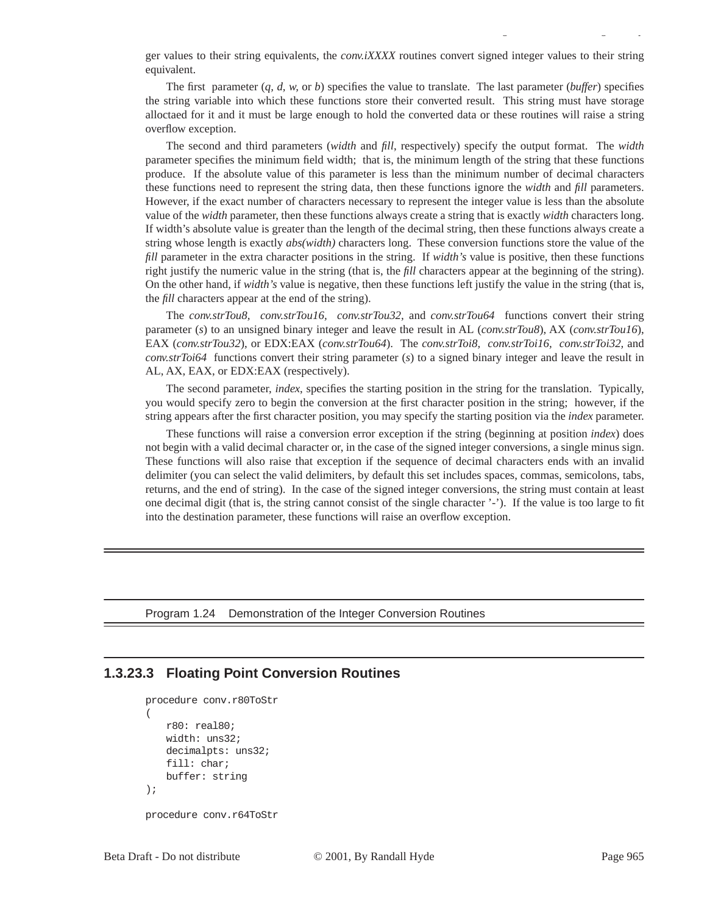ger values to their string equivalents, the *conv.iXXXX* routines convert signed integer values to their string equivalent.

gy a gyar a gyar a gyar a gyar a gyar a gyar a gyar a gyar a gyar a gyar a gyar a gyar a gyar a gyar a gyar a<br>Saol a gyar a gyar a gyar a gyar a gyar a gyar a gyar a gyar a gyar a gyar a gyar a gyar a gyar a gyar a gyar

The first parameter (*q, d, w,* or *b*) specifies the value to translate. The last parameter (*buffer*) specifies the string variable into which these functions store their converted result. This string must have storage alloctaed for it and it must be large enough to hold the converted data or these routines will raise a string overflow exception.

The second and third parameters (*width* and *fill*, respectively) specify the output format. The *width* parameter specifies the minimum field width; that is, the minimum length of the string that these functions produce. If the absolute value of this parameter is less than the minimum number of decimal characters these functions need to represent the string data, then these functions ignore the *width* and *fill* parameters. However, if the exact number of characters necessary to represent the integer value is less than the absolute value of the *width* parameter, then these functions always create a string that is exactly *width* characters long. If width's absolute value is greater than the length of the decimal string, then these functions always create a string whose length is exactly *abs(width)* characters long. These conversion functions store the value of the *fill* parameter in the extra character positions in the string. If *width's* value is positive, then these functions right justify the numeric value in the string (that is, the *fill* characters appear at the beginning of the string). On the other hand, if *width's* value is negative, then these functions left justify the value in the string (that is, the *fill* characters appear at the end of the string).

The *conv.strTou8, conv.strTou16, conv.strTou32,* and *conv.strTou64* functions convert their string parameter (*s*) to an unsigned binary integer and leave the result in AL (*conv.strTou8*), AX (*conv.strTou16*), EAX (*conv.strTou32*), or EDX:EAX (*conv.strTou64*). The *conv.strToi8, conv.strToi16, conv.strToi32,* and *conv.strToi64* functions convert their string parameter (*s*) to a signed binary integer and leave the result in AL, AX, EAX, or EDX:EAX (respectively).

The second parameter, *index*, specifies the starting position in the string for the translation. Typically, you would specify zero to begin the conversion at the first character position in the string; however, if the string appears after the first character position, you may specify the starting position via the *index* parameter.

These functions will raise a conversion error exception if the string (beginning at position *index*) does not begin with a valid decimal character or, in the case of the signed integer conversions, a single minus sign. These functions will also raise that exception if the sequence of decimal characters ends with an invalid delimiter (you can select the valid delimiters, by default this set includes spaces, commas, semicolons, tabs, returns, and the end of string). In the case of the signed integer conversions, the string must contain at least one decimal digit (that is, the string cannot consist of the single character '-'). If the value is too large to fit into the destination parameter, these functions will raise an overflow exception.

Program 1.24 Demonstration of the Integer Conversion Routines

## **1.3.23.3 Floating Point Conversion Routines**

```
procedure conv.r80ToStr
(
   r80: real80;
   width: uns32;
   decimalpts: uns32;
    fill: char;
   buffer: string
);
procedure conv.r64ToStr
```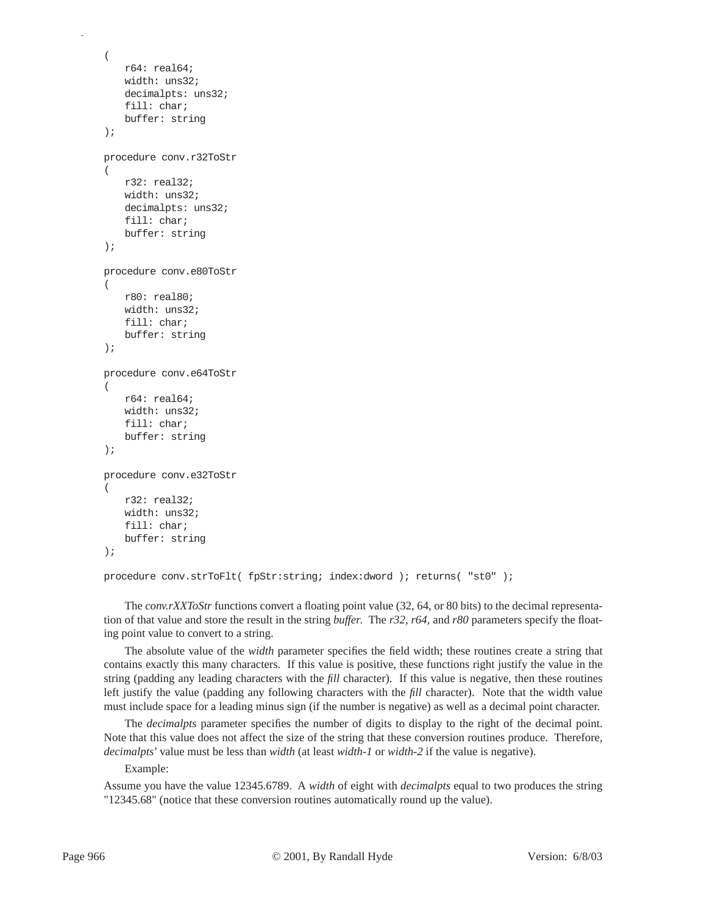```
(
   r64: real64;
   width: uns32;
   decimalpts: uns32;
   fill: char;
   buffer: string
);
procedure conv.r32ToStr
(
   r32: real32;
   width: uns32;
   decimalpts: uns32;
   fill: char;
   buffer: string
);
procedure conv.e80ToStr
(
   r80: real80;
   width: uns32;
   fill: char;
   buffer: string
);
procedure conv.e64ToStr
(
   r64: real64;
   width: uns32;
   fill: char;
   buffer: string
);
procedure conv.e32ToStr
(
   r32: real32;
   width: uns32;
   fill: char;
   buffer: string
);
```

```
procedure conv.strToFlt( fpStr:string; index:dword ); returns( "st0" );
```
The *conv.rXXToStr* functions convert a floating point value (32, 64, or 80 bits) to the decimal representation of that value and store the result in the string *buffer*. The *r32, r64,* and *r80* parameters specify the floating point value to convert to a string.

The absolute value of the *width* parameter specifies the field width; these routines create a string that contains exactly this many characters. If this value is positive, these functions right justify the value in the string (padding any leading characters with the *fill* character). If this value is negative, then these routines left justify the value (padding any following characters with the *fill* character). Note that the width value must include space for a leading minus sign (if the number is negative) as well as a decimal point character.

The *decimalpts* parameter specifies the number of digits to display to the right of the decimal point. Note that this value does not affect the size of the string that these conversion routines produce. Therefore, *decimalpts*' value must be less than *width* (at least *width-1* or *width-2* if the value is negative).

Example:

Assume you have the value 12345.6789. A *width* of eight with *decimalpts* equal to two produces the string "12345.68" (notice that these conversion routines automatically round up the value).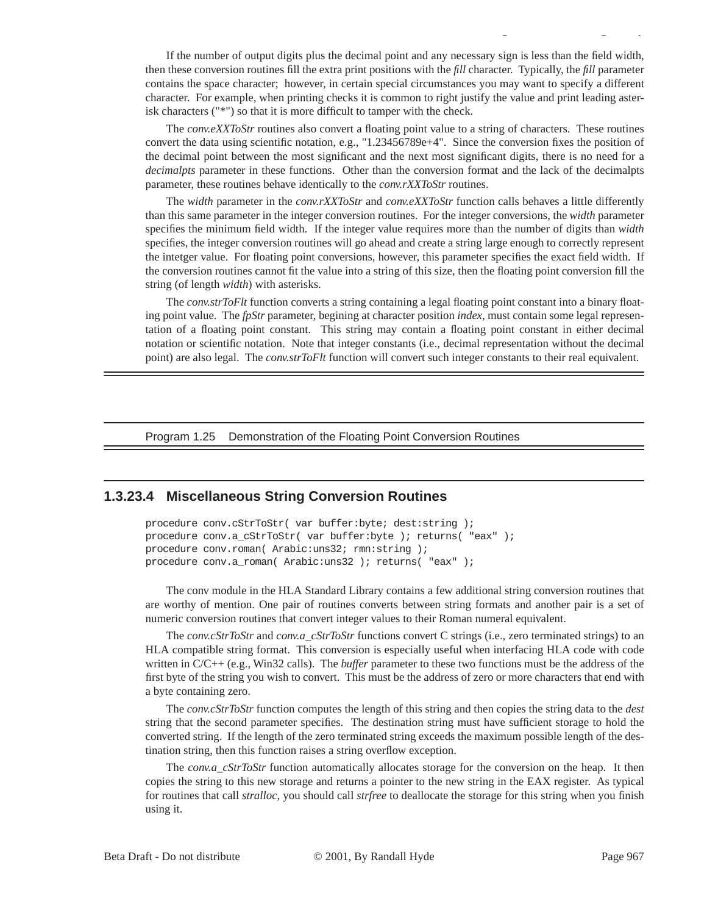If the number of output digits plus the decimal point and any necessary sign is less than the field width, then these conversion routines fill the extra print positions with the *fill* character. Typically, the *fill* parameter contains the space character; however, in certain special circumstances you may want to specify a different character. For example, when printing checks it is common to right justify the value and print leading asterisk characters ("\*") so that it is more difficult to tamper with the check.

gy a gyar a gyar a gyar a gyar a gyar a gyar a gyar a gyar a gyar a gyar a gyar a gyar a gyar a gyar a gyar a<br>Saol a gyar a gyar a gyar a gyar a gyar a gyar a gyar a gyar a gyar a gyar a gyar a gyar a gyar a gyar a gyar

The *conv.eXXToStr* routines also convert a floating point value to a string of characters. These routines convert the data using scientific notation, e.g., "1.23456789e+4". Since the conversion fixes the position of the decimal point between the most significant and the next most significant digits, there is no need for a *decimalpts* parameter in these functions. Other than the conversion format and the lack of the decimalpts parameter, these routines behave identically to the *conv.rXXToStr* routines.

The *width* parameter in the *conv.rXXToStr* and *conv.eXXToStr* function calls behaves a little differently than this same parameter in the integer conversion routines. For the integer conversions, the *width* parameter specifies the minimum field width. If the integer value requires more than the number of digits than *width* specifies, the integer conversion routines will go ahead and create a string large enough to correctly represent the intetger value. For floating point conversions, however, this parameter specifies the exact field width. If the conversion routines cannot fit the value into a string of this size, then the floating point conversion fill the string (of length *width*) with asterisks.

The *conv.strToFlt* function converts a string containing a legal floating point constant into a binary floating point value. The *fpStr* parameter, begining at character position *index*, must contain some legal representation of a floating point constant. This string may contain a floating point constant in either decimal notation or scientific notation. Note that integer constants (i.e., decimal representation without the decimal point) are also legal. The *conv.strToFlt* function will convert such integer constants to their real equivalent.

Program 1.25 Demonstration of the Floating Point Conversion Routines

## **1.3.23.4 Miscellaneous String Conversion Routines**

procedure conv.cStrToStr( var buffer:byte; dest:string ); procedure conv.a\_cStrToStr( var buffer:byte ); returns( "eax" ); procedure conv.roman( Arabic:uns32; rmn:string ); procedure conv.a\_roman( Arabic:uns32 ); returns( "eax" );

The conv module in the HLA Standard Library contains a few additional string conversion routines that are worthy of mention. One pair of routines converts between string formats and another pair is a set of numeric conversion routines that convert integer values to their Roman numeral equivalent.

The *conv.cStrToStr* and *conv.a\_cStrToStr* functions convert C strings (i.e., zero terminated strings) to an HLA compatible string format. This conversion is especially useful when interfacing HLA code with code written in C/C++ (e.g., Win32 calls). The *buffer* parameter to these two functions must be the address of the first byte of the string you wish to convert. This must be the address of zero or more characters that end with a byte containing zero.

The *conv.cStrToStr* function computes the length of this string and then copies the string data to the *dest* string that the second parameter specifies. The destination string must have sufficient storage to hold the converted string. If the length of the zero terminated string exceeds the maximum possible length of the destination string, then this function raises a string overflow exception.

The *conv.a\_cStrToStr* function automatically allocates storage for the conversion on the heap. It then copies the string to this new storage and returns a pointer to the new string in the EAX register. As typical for routines that call *stralloc*, you should call *strfree* to deallocate the storage for this string when you finish using it.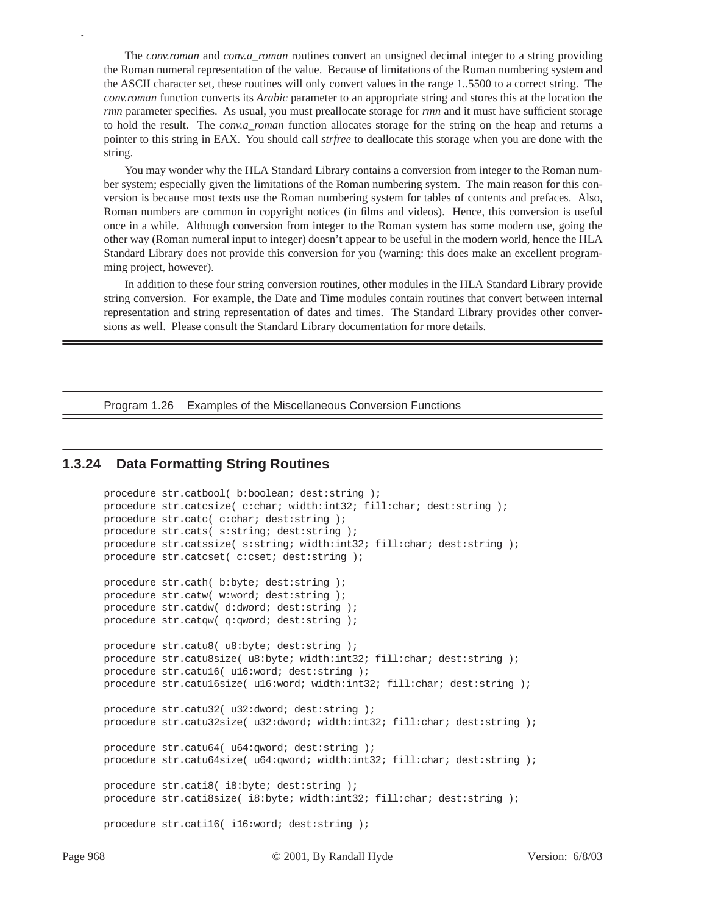The *conv.roman* and *conv.a\_roman* routines convert an unsigned decimal integer to a string providing the Roman numeral representation of the value. Because of limitations of the Roman numbering system and the ASCII character set, these routines will only convert values in the range 1..5500 to a correct string. The *conv.roman* function converts its *Arabic* parameter to an appropriate string and stores this at the location the *rmn* parameter specifies. As usual, you must preallocate storage for *rmn* and it must have sufficient storage to hold the result. The *conv.a\_roman* function allocates storage for the string on the heap and returns a pointer to this string in EAX. You should call *strfree* to deallocate this storage when you are done with the string.

You may wonder why the HLA Standard Library contains a conversion from integer to the Roman number system; especially given the limitations of the Roman numbering system. The main reason for this conversion is because most texts use the Roman numbering system for tables of contents and prefaces. Also, Roman numbers are common in copyright notices (in films and videos). Hence, this conversion is useful once in a while. Although conversion from integer to the Roman system has some modern use, going the other way (Roman numeral input to integer) doesn't appear to be useful in the modern world, hence the HLA Standard Library does not provide this conversion for you (warning: this does make an excellent programming project, however).

In addition to these four string conversion routines, other modules in the HLA Standard Library provide string conversion. For example, the Date and Time modules contain routines that convert between internal representation and string representation of dates and times. The Standard Library provides other conversions as well. Please consult the Standard Library documentation for more details.

Program 1.26 Examples of the Miscellaneous Conversion Functions

## **1.3.24 Data Formatting String Routines**

```
procedure str.catbool( b:boolean; dest:string );
procedure str.catcsize( c:char; width:int32; fill:char; dest:string );
procedure str.catc( c:char; dest:string );
procedure str.cats( s:string; dest:string );
procedure str.catssize( s:string; width:int32; fill:char; dest:string );
procedure str.catcset( c:cset; dest:string );
procedure str.cath( b:byte; dest:string );
procedure str.catw( w:word; dest:string );
procedure str.catdw( d:dword; dest:string );
procedure str.catqw( q:qword; dest:string );
procedure str.catu8( u8:byte; dest:string );
procedure str.catu8size( u8:byte; width:int32; fill:char; dest:string );
procedure str.catu16( u16:word; dest:string );
procedure str.catu16size( u16:word; width:int32; fill:char; dest:string );
procedure str.catu32( u32:dword; dest:string );
procedure str.catu32size( u32:dword; width:int32; fill:char; dest:string );
procedure str.catu64( u64:qword; dest:string );
procedure str.catu64size( u64:qword; width:int32; fill:char; dest:string );
procedure str.cati8( i8:byte; dest:string );
procedure str.cati8size( i8:byte; width:int32; fill:char; dest:string );
procedure str.cati16( i16:word; dest:string );
```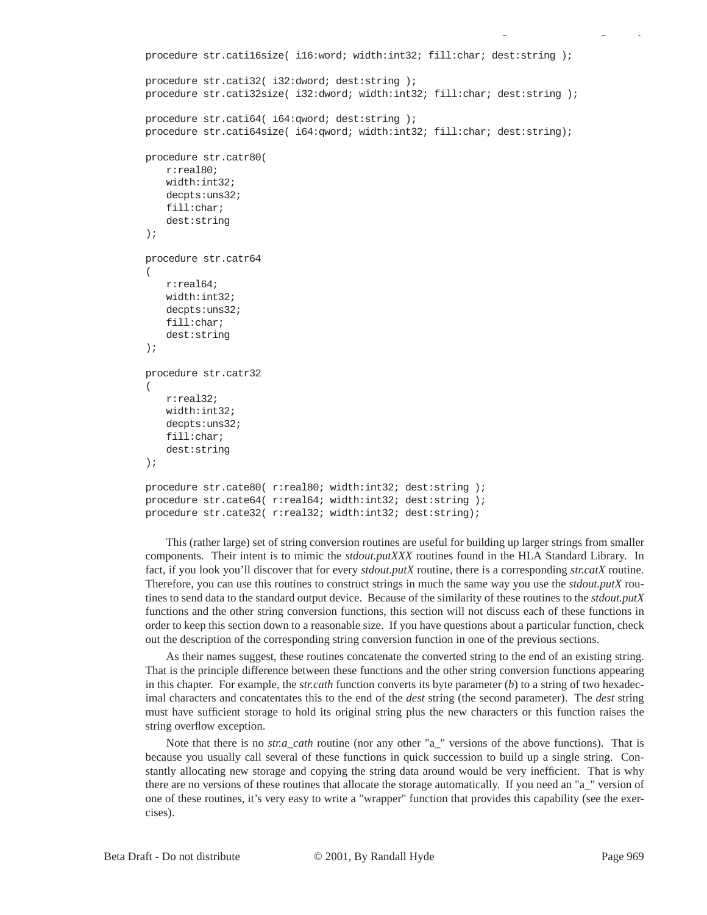```
procedure str.cati16size( i16:word; width:int32; fill:char; dest:string );
procedure str.cati32( i32:dword; dest:string );
procedure str.cati32size( i32:dword; width:int32; fill:char; dest:string );
procedure str.cati64( i64:qword; dest:string );
procedure str.cati64size( i64:qword; width:int32; fill:char; dest:string);
procedure str.catr80( 
   r:real80; 
   width:int32; 
   decpts:uns32; 
   fill:char; 
   dest:string 
);
procedure str.catr64
(
   r:real64;
   width:int32;
   decpts:uns32;
   fill:char;
   dest:string
);
procedure str.catr32
(
   r:real32;
   width:int32;
   decpts:uns32;
   fill:char;
   dest:string
);
procedure str.cate80( r:real80; width:int32; dest:string );
procedure str.cate64( r:real64; width:int32; dest:string );
procedure str.cate32( r:real32; width:int32; dest:string);
```
This (rather large) set of string conversion routines are useful for building up larger strings from smaller components. Their intent is to mimic the *stdout.putXXX* routines found in the HLA Standard Library. In fact, if you look you'll discover that for every *stdout.putX* routine, there is a corresponding *str.catX* routine. Therefore, you can use this routines to construct strings in much the same way you use the *stdout.putX* routines to send data to the standard output device. Because of the similarity of these routines to the *stdout.putX* functions and the other string conversion functions, this section will not discuss each of these functions in order to keep this section down to a reasonable size. If you have questions about a particular function, check out the description of the corresponding string conversion function in one of the previous sections.

As their names suggest, these routines concatenate the converted string to the end of an existing string. That is the principle difference between these functions and the other string conversion functions appearing in this chapter. For example, the *str.cath* function converts its byte parameter (*b*) to a string of two hexadecimal characters and concatentates this to the end of the *dest* string (the second parameter). The *dest* string must have sufficient storage to hold its original string plus the new characters or this function raises the string overflow exception.

Note that there is no *str.a\_cath* routine (nor any other "a\_" versions of the above functions). That is because you usually call several of these functions in quick succession to build up a single string. Constantly allocating new storage and copying the string data around would be very inefficient. That is why there are no versions of these routines that allocate the storage automatically. If you need an "a\_" version of one of these routines, it's very easy to write a "wrapper" function that provides this capability (see the exercises).

gy a gyar a gyar a gyar a gyar a gyar a gyar a gyar a gyar a gyar a gyar a gyar a gyar a gyar a gyar a gyar a<br>Saol a gyar a gyar a gyar a gyar a gyar a gyar a gyar a gyar a gyar a gyar a gyar a gyar a gyar a gyar a gyar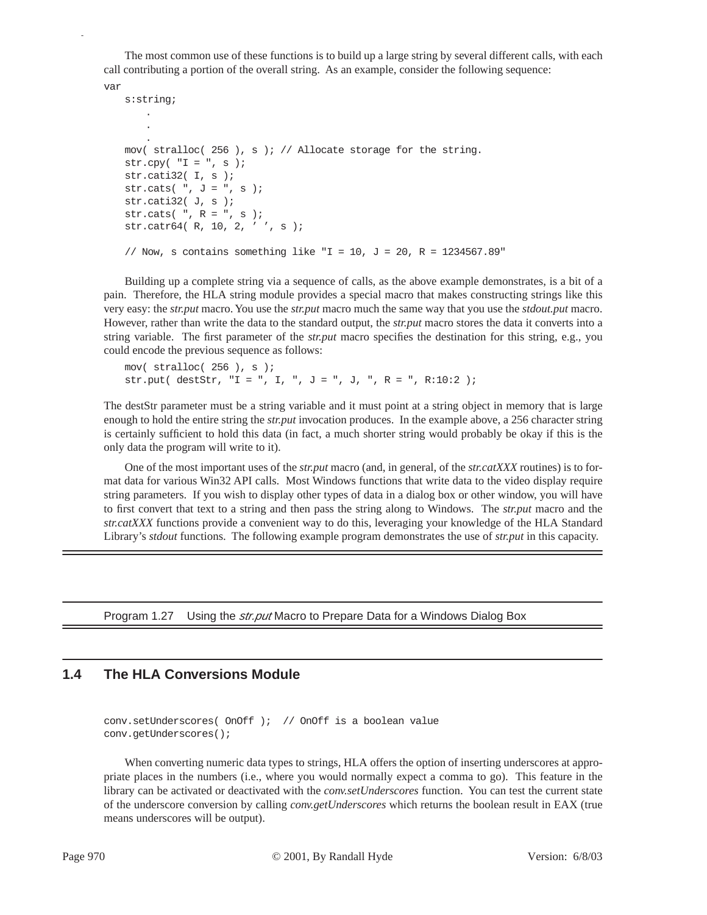The most common use of these functions is to build up a large string by several different calls, with each call contributing a portion of the overall string. As an example, consider the following sequence:

```
var
   s:string;
       .
       .
       .
   mov( stralloc( 256 ), s ); // Allocate storage for the string.
   str.cpy( "I = " , s );
   str.cati32( I, s );
   str.cats( ", J = ", s );
   str.cati32(J, s);
   str.cats( ", R = ", s );
   str.catr64( R, 10, 2, ' ', s );
   // Now, s contains something like "I = 10, J = 20, R = 1234567.89"
```
Building up a complete string via a sequence of calls, as the above example demonstrates, is a bit of a pain. Therefore, the HLA string module provides a special macro that makes constructing strings like this very easy: the *str.put* macro. You use the *str.put* macro much the same way that you use the *stdout.put* macro. However, rather than write the data to the standard output, the *str.put* macro stores the data it converts into a string variable. The first parameter of the *str.put* macro specifies the destination for this string, e.g., you could encode the previous sequence as follows:

```
mov( stralloc( 256 ), s );
str.put( destStr, "I = ", I, ", J = ", J, ", R = ", R:10:2 );
```
The destStr parameter must be a string variable and it must point at a string object in memory that is large enough to hold the entire string the *str.put* invocation produces. In the example above, a 256 character string is certainly sufficient to hold this data (in fact, a much shorter string would probably be okay if this is the only data the program will write to it).

One of the most important uses of the *str.put* macro (and, in general, of the *str.catXXX* routines) is to format data for various Win32 API calls. Most Windows functions that write data to the video display require string parameters. If you wish to display other types of data in a dialog box or other window, you will have to first convert that text to a string and then pass the string along to Windows. The *str.put* macro and the *str.catXXX* functions provide a convenient way to do this, leveraging your knowledge of the HLA Standard Library's *stdout* functions. The following example program demonstrates the use of *str.put* in this capacity.

Program 1.27 Using the *str.put* Macro to Prepare Data for a Windows Dialog Box

# **1.4 The HLA Conversions Module**

conv.setUnderscores( OnOff ); // OnOff is a boolean value conv.getUnderscores();

When converting numeric data types to strings, HLA offers the option of inserting underscores at appropriate places in the numbers (i.e., where you would normally expect a comma to go). This feature in the library can be activated or deactivated with the *conv.setUnderscores* function. You can test the current state of the underscore conversion by calling *conv.getUnderscores* which returns the boolean result in EAX (true means underscores will be output).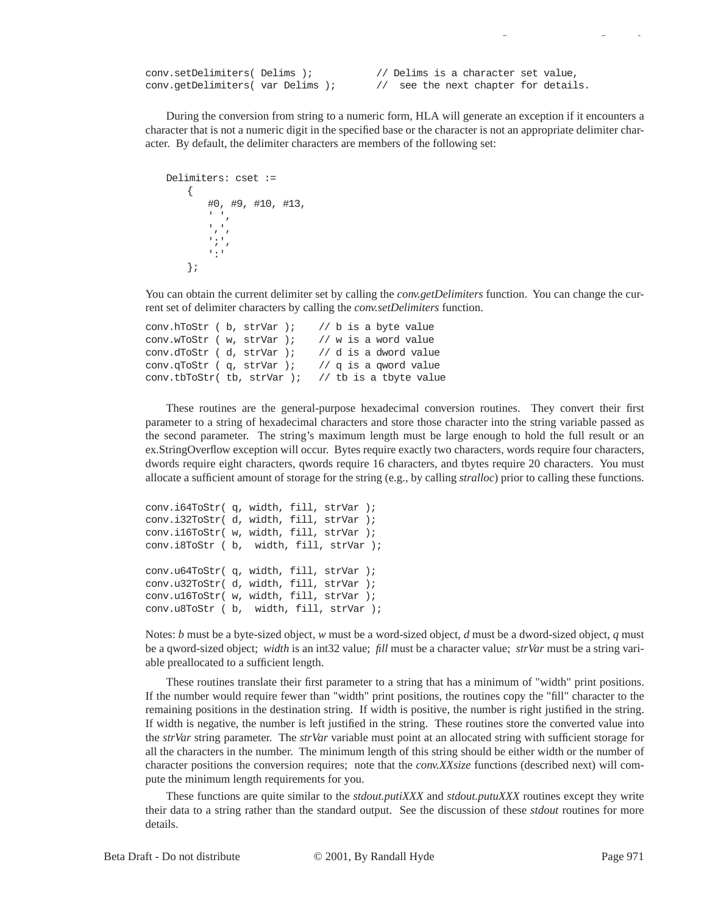conv.setDelimiters( Delims ); // Delims is a character set value, conv.getDelimiters( var Delims ); // see the next chapter for details.

During the conversion from string to a numeric form, HLA will generate an exception if it encounters a character that is not a numeric digit in the specified base or the character is not an appropriate delimiter character. By default, the delimiter characters are members of the following set:

gy a gyar a gyar a gyar a gyar a gyar a gyar a gyar a gyar a gyar a gyar a gyar a gyar a gyar a gyar a gyar a<br>Saol a gyar a gyar a gyar a gyar a gyar a gyar a gyar a gyar a gyar a gyar a gyar a gyar a gyar a gyar a gyar

```
Delimiters: cset :=
      {
            #0, #9, #10, #13, 
            \epsilon , \epsilon\mathbf{r}_i, \mathbf{r}_j';',
            ':'
      };
```
You can obtain the current delimiter set by calling the *conv.getDelimiters* function. You can change the current set of delimiter characters by calling the *conv.setDelimiters* function.

```
conv.hToStr ( b, strVar ); // b is a byte value
conv.wToStr ( w, strVar ); // w is a word value
conv.dToStr ( d, strVar ); // d is a dword value
conv.qToStr ( q, strVar ); // q is a qword value
conv.tbToStr( tb, strVar ); // tb is a tbyte value
```
These routines are the general-purpose hexadecimal conversion routines. They convert their first parameter to a string of hexadecimal characters and store those character into the string variable passed as the second parameter. The string's maximum length must be large enough to hold the full result or an ex.StringOverflow exception will occur. Bytes require exactly two characters, words require four characters, dwords require eight characters, qwords require 16 characters, and tbytes require 20 characters. You must allocate a sufficient amount of storage for the string (e.g., by calling *stralloc*) prior to calling these functions.

```
conv.i64ToStr( q, width, fill, strVar );
conv.i32ToStr( d, width, fill, strVar );
conv.i16ToStr( w, width, fill, strVar );
conv.i8ToStr ( b, width, fill, strVar );
conv.u64ToStr( q, width, fill, strVar );
conv.u32ToStr( d, width, fill, strVar );
conv.u16ToStr( w, width, fill, strVar );
conv.u8ToStr ( b, width, fill, strVar );
```
Notes: *b* must be a byte-sized object, *w* must be a word-sized object, *d* must be a dword-sized object, *q* must be a qword-sized object; *width* is an int32 value; *fill* must be a character value; *strVar* must be a string variable preallocated to a sufficient length.

These routines translate their first parameter to a string that has a minimum of "width" print positions. If the number would require fewer than "width" print positions, the routines copy the "fill" character to the remaining positions in the destination string. If width is positive, the number is right justified in the string. If width is negative, the number is left justified in the string. These routines store the converted value into the *strVar* string parameter. The *strVar* variable must point at an allocated string with sufficient storage for all the characters in the number. The minimum length of this string should be either width or the number of character positions the conversion requires; note that the *conv.XXsize* functions (described next) will compute the minimum length requirements for you.

These functions are quite similar to the *stdout.putiXXX* and *stdout.putuXXX* routines except they write their data to a string rather than the standard output. See the discussion of these *stdout* routines for more details.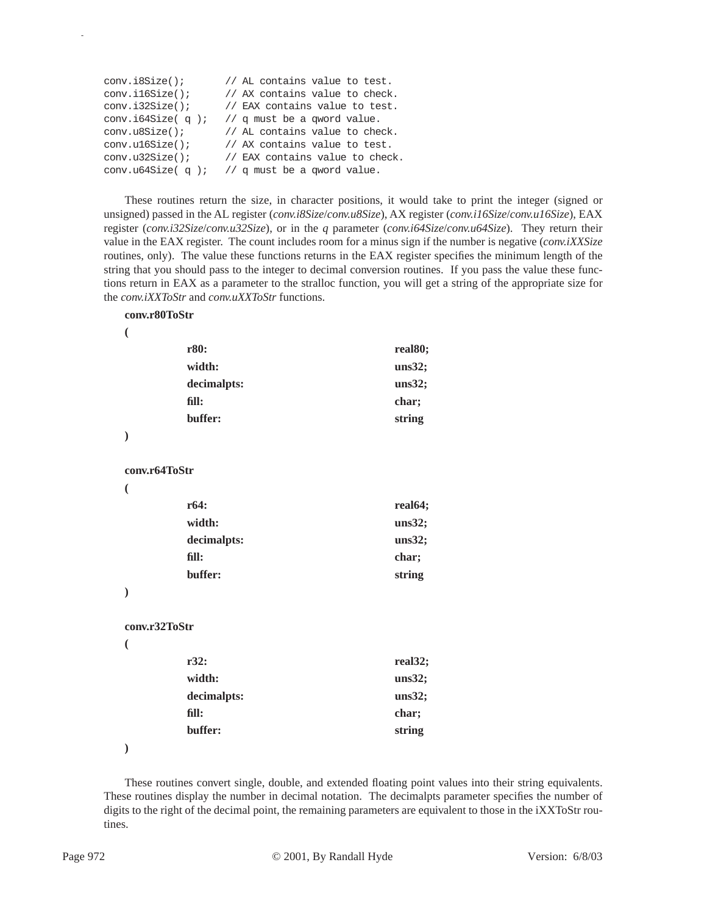| conv.i8Size();         | // AL contains value to test.   |
|------------------------|---------------------------------|
| conv.i16Size()         | // AX contains value to check.  |
| conv.i32Size()         | // EAX contains value to test.  |
| conv.i64Size $( q )$ ; | // q must be a qword value.     |
| conv.u8Size();         | // AL contains value to check.  |
| conv.u16Size()         | // AX contains value to test.   |
| conv.u32Size()         | // EAX contains value to check. |
| conv.u64Size $( q )$ ; | // q must be a qword value.     |

These routines return the size, in character positions, it would take to print the integer (signed or unsigned) passed in the AL register (*conv.i8Size*/*conv.u8Size*), AX register (*conv.i16Size*/*conv.u16Size*), EAX register (*conv.i32Size*/*conv.u32Size*), or in the *q* parameter (*conv.i64Size*/*conv.u64Size*). They return their value in the EAX register. The count includes room for a minus sign if the number is negative (*conv.iXXSize* routines, only). The value these functions returns in the EAX register specifies the minimum length of the string that you should pass to the integer to decimal conversion routines. If you pass the value these functions return in EAX as a parameter to the stralloc function, you will get a string of the appropriate size for the *conv.iXXToStr* and *conv.uXXToStr* functions.

#### **conv.r80ToStr**

| I  |  |
|----|--|
|    |  |
|    |  |
| P, |  |

p

|                          | r80:          | real80; |
|--------------------------|---------------|---------|
|                          | width:        | uns32;  |
|                          | decimalpts:   | uns32;  |
|                          | fill:         | char;   |
|                          | buffer:       | string  |
| $\mathcal{E}$            |               |         |
|                          | conv.r64ToStr |         |
| $\overline{(}$           |               |         |
|                          | r64:          | real64; |
|                          | width:        | uns32;  |
|                          | decimalpts:   | uns32;  |
|                          | fill:         | char;   |
|                          | buffer:       | string  |
| $\mathcal{E}$            |               |         |
|                          | conv.r32ToStr |         |
| $\overline{\phantom{a}}$ |               |         |
|                          | r32:          | real32; |
|                          | width:        | uns32;  |
|                          | decimalpts:   | uns32;  |
|                          | fill:         | char;   |
|                          | buffer:       | string  |

**)**

These routines convert single, double, and extended floating point values into their string equivalents. These routines display the number in decimal notation. The decimalpts parameter specifies the number of digits to the right of the decimal point, the remaining parameters are equivalent to those in the iXXToStr routines.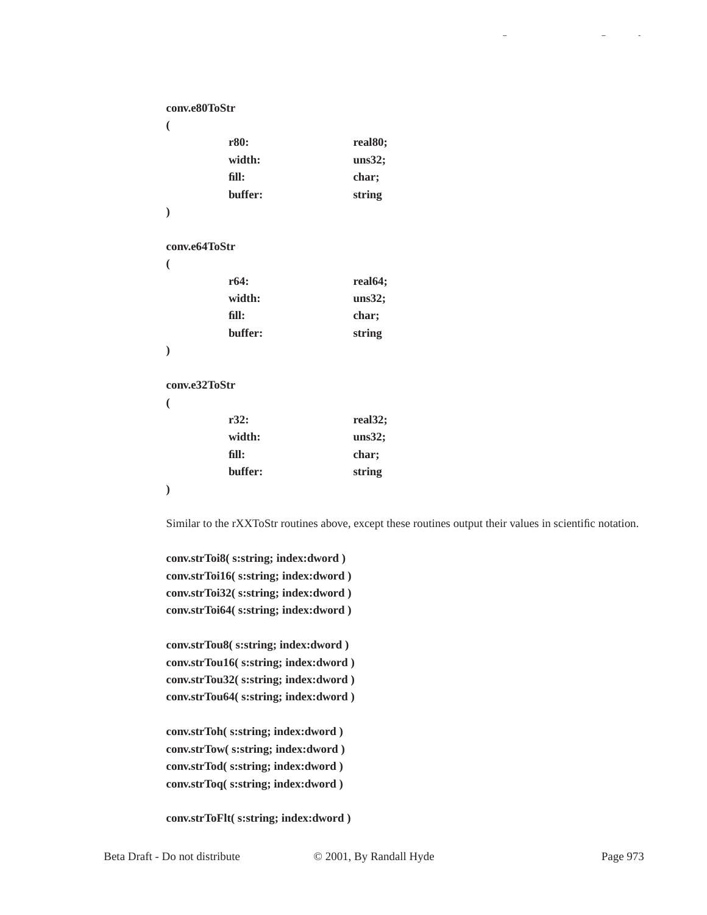| conv.e80ToStr |         |                      |
|---------------|---------|----------------------|
| €             |         |                      |
|               | r80:    | real80;              |
|               | width:  | uns32;               |
|               | fill:   | char;                |
|               | buffer: | string               |
| $\mathcal{E}$ |         |                      |
|               |         |                      |
| conv.e64ToStr |         |                      |
| €             |         |                      |
|               | r64:    | real64;              |
|               | width:  | uns32;               |
|               | fill:   | char;                |
|               | buffer: | string               |
| $\mathcal{E}$ |         |                      |
|               |         |                      |
| conv.e32ToStr |         |                      |
| €             |         |                      |
|               | r32:    | real <sub>32</sub> ; |
|               | width:  | uns32;               |
|               | fill:   | char;                |
|               | buffer: | string               |
| $\mathcal{E}$ |         |                      |

Similar to the rXXToStr routines above, except these routines output their values in scientific notation.

**conv.strToi8( s:string; index:dword ) conv.strToi16( s:string; index:dword ) conv.strToi32( s:string; index:dword ) conv.strToi64( s:string; index:dword )**

**conv.strTou8( s:string; index:dword ) conv.strTou16( s:string; index:dword ) conv.strTou32( s:string; index:dword ) conv.strTou64( s:string; index:dword )**

**conv.strToh( s:string; index:dword ) conv.strTow( s:string; index:dword ) conv.strTod( s:string; index:dword ) conv.strToq( s:string; index:dword )**

**conv.strToFlt( s:string; index:dword )**

gy a gyar a gyar a gyar a gyar a gyar a gyar a gyar a gyar a gyar a gyar a gyar a gyar a gyar a gyar a gyar a<br>Gyar a gyar a gyar a gyar a gyar a gyar a gyar a gyar a gyar a gyar a gyar a gyar a gyar a gyar a gyar a gyar